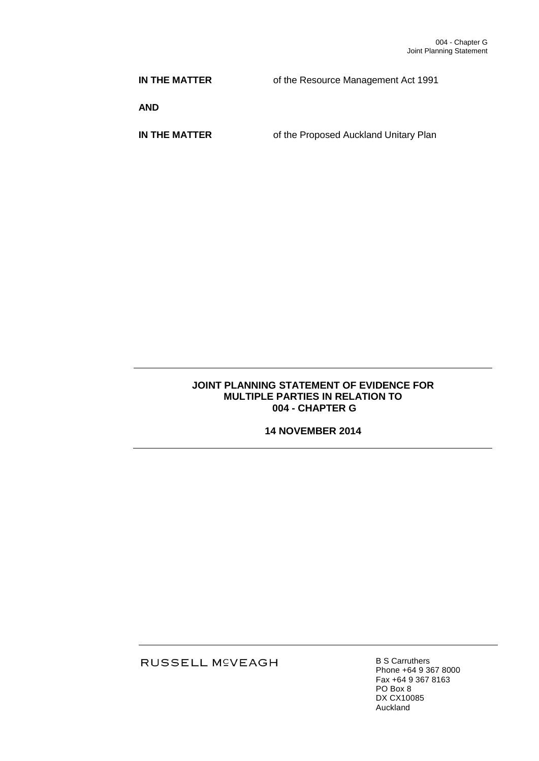**IN THE MATTER** of the Resource Management Act 1991

**AND**

**IN THE MATTER** of the Proposed Auckland Unitary Plan

### **JOINT PLANNING STATEMENT OF EVIDENCE FOR MULTIPLE PARTIES IN RELATION TO 004 - CHAPTER G**

**14 NOVEMBER 2014**

RUSSELL M<sup>C</sup>VEAGH

B S Carruthers Phone +64 9 367 8000 Fax +64 9 367 8163 PO Box 8 DX CX10085 Auckland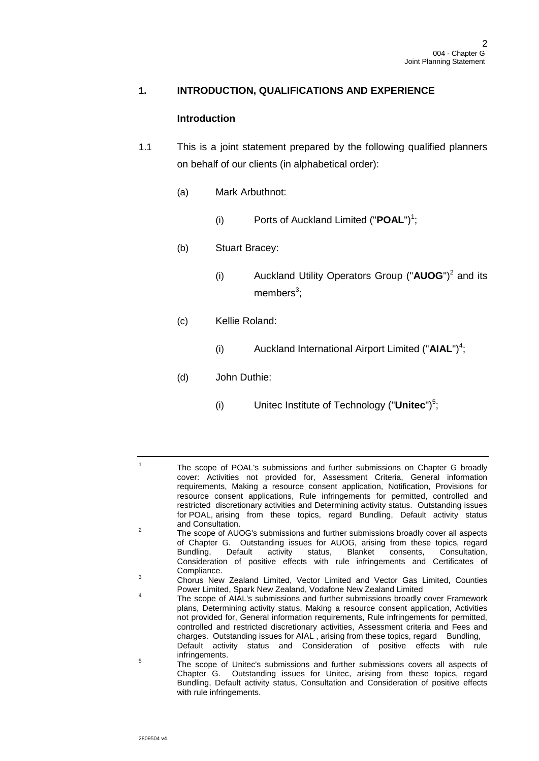## **1. INTRODUCTION, QUALIFICATIONS AND EXPERIENCE**

### **Introduction**

- 1.1 This is a joint statement prepared by the following qualified planners on behalf of our clients (in alphabetical order):
	- (a) Mark Arbuthnot:
		- (i) Ports of Auckland Limited ("**POAL**")<sup>1</sup>;
	- (b) Stuart Bracey:
		- (i) Auckland Utility Operators Group ("**AUOG**")<sup>2</sup> and its members<sup>3</sup>;
	- (c) Kellie Roland:
		- (i) Auckland International Airport Limited ("**AIAL**") 4 ;

# (d) John Duthie:

(i) Unitec Institute of Technology ("**Unitec**")<sup>5</sup>;

2 The scope of AUOG's submissions and further submissions broadly cover all aspects of Chapter G. Outstanding issues for AUOG, arising from these topics, regard Bundling, Default activity status, Blanket consents, Consultation. Bundling, Default activity status, Blanket consents, Consultation, Consideration of positive effects with rule infringements and Certificates of Compliance.

- 4 The scope of AIAL's submissions and further submissions broadly cover Framework plans, Determining activity status, Making a resource consent application, Activities not provided for, General information requirements, Rule infringements for permitted, controlled and restricted discretionary activities, Assessment criteria and Fees and charges. Outstanding issues for AIAL, arising from these topics, regard Bundling, Default activity status and Consideration of positive effects with rule infringements.
- 5 The scope of Unitec's submissions and further submissions covers all aspects of Chapter G. Outstanding issues for Unitec, arising from these topics, regard Bundling, Default activity status, Consultation and Consideration of positive effects with rule infringements.

<sup>1</sup> The scope of POAL's submissions and further submissions on Chapter G broadly cover: Activities not provided for, Assessment Criteria, General information requirements, Making a resource consent application, Notification, Provisions for resource consent applications, Rule infringements for permitted, controlled and restricted discretionary activities and Determining activity status. Outstanding issues for POAL, arising from these topics, regard Bundling, Default activity status and Consultation.

<sup>&</sup>lt;sup>3</sup> Chorus New Zealand Limited, Vector Limited and Vector Gas Limited, Counties Power Limited, Spark New Zealand, Vodafone New Zealand Limited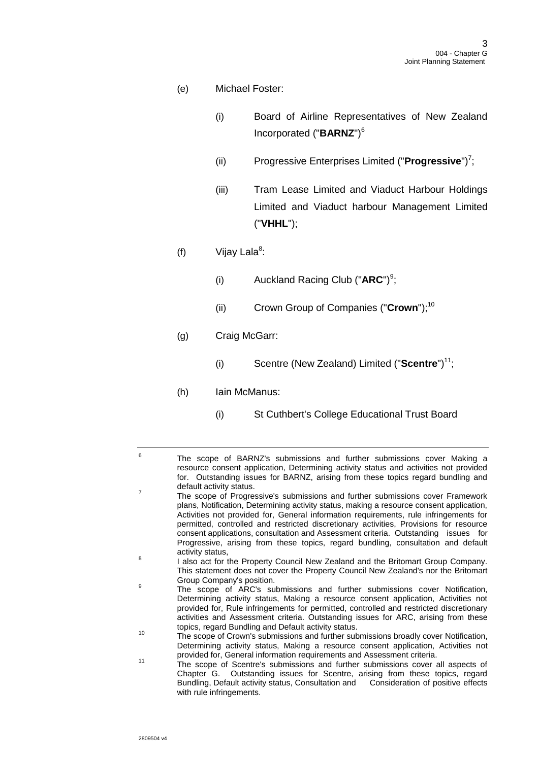- (e) Michael Foster:
	- (i) Board of Airline Representatives of New Zealand Incorporated ("**BARNZ**")<sup>6</sup>
	- (ii) Progressive Enterprises Limited ("**Progressive**")<sup>7</sup>;
	- (iii) Tram Lease Limited and Viaduct Harbour Holdings Limited and Viaduct harbour Management Limited ("**VHHL**");
- (f)  $V$ ijay Lala<sup>8</sup>:
	- (i) Auckland Racing Club ("**ARC**")<sup>9</sup>;
	- (ii) Crown Group of Companies ("**Crown**");<sup>10</sup>
- (g) Craig McGarr:
	- (i) Scentre (New Zealand) Limited ("**Scentre**")<sup>11</sup>;
- (h) Iain McManus:
	- (i) St Cuthbert's College Educational Trust Board

- 8 I also act for the Property Council New Zealand and the Britomart Group Company. This statement does not cover the Property Council New Zealand's nor the Britomart Group Company's position.
- 9 The scope of ARC's submissions and further submissions cover Notification, Determining activity status, Making a resource consent application, Activities not provided for, Rule infringements for permitted, controlled and restricted discretionary activities and Assessment criteria. Outstanding issues for ARC, arising from these topics, regard Bundling and Default activity status.
- 10 The scope of Crown's submissions and further submissions broadly cover Notification, Determining activity status, Making a resource consent application, Activities not provided for, General information requirements and Assessment criteria.
- <sup>11</sup> The scope of Scentre's submissions and further submissions cover all aspects of Chapter G. Outstanding issues for Scentre, arising from these topics, regard Bundling, Default activity status, Consultation and Consideration of positive effects with rule infringements.

<sup>6</sup> The scope of BARNZ's submissions and further submissions cover Making a resource consent application, Determining activity status and activities not provided for. Outstanding issues for BARNZ, arising from these topics regard bundling and default activity status. 7 The scope of Progressive's submissions and further submissions cover Framework

plans, Notification, Determining activity status, making a resource consent application, Activities not provided for, General information requirements, rule infringements for permitted, controlled and restricted discretionary activities, Provisions for resource consent applications, consultation and Assessment criteria. Outstanding issues for Progressive, arising from these topics, regard bundling, consultation and default activity status,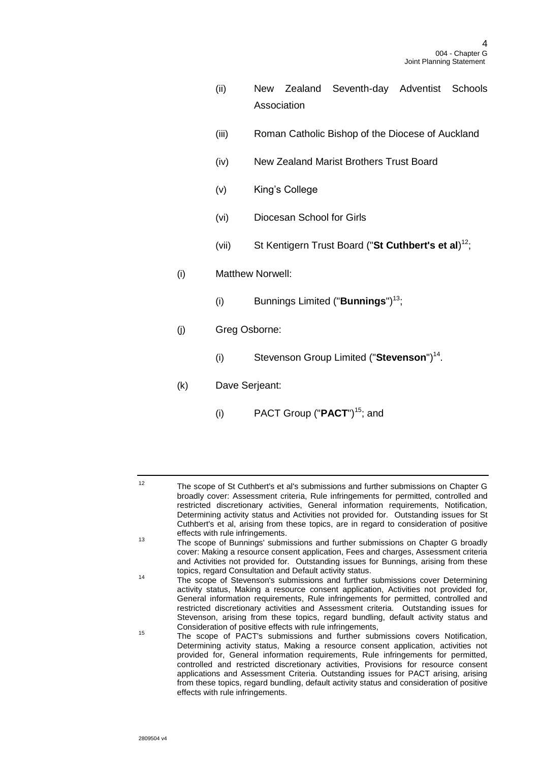- (ii) New Zealand Seventh-day Adventist Schools Association
- (iii) Roman Catholic Bishop of the Diocese of Auckland
- (iv) New Zealand Marist Brothers Trust Board
- (v) King's College
- (vi) Diocesan School for Girls
- (vii) St Kentigern Trust Board ("**St Cuthbert's et al**) 12;
- (i) Matthew Norwell:
	- (i) Bunnings Limited ("**Bunnings**")<sup>13</sup>;
- (j) Greg Osborne:
	- (i) Stevenson Group Limited ("**Stevenson**")<sup>14</sup>.
- (k) Dave Serjeant:
	- (i) PACT Group ("**PACT**")<sup>15</sup>; and

<sup>12</sup> The scope of St Cuthbert's et al's submissions and further submissions on Chapter G broadly cover: Assessment criteria, Rule infringements for permitted, controlled and restricted discretionary activities, General information requirements, Notification, Determining activity status and Activities not provided for. Outstanding issues for St Cuthbert's et al, arising from these topics, are in regard to consideration of positive effects with rule infringements.

<sup>13</sup> The scope of Bunnings' submissions and further submissions on Chapter G broadly cover: Making a resource consent application, Fees and charges, Assessment criteria and Activities not provided for. Outstanding issues for Bunnings, arising from these topics, regard Consultation and Default activity status.

<sup>14</sup> The scope of Stevenson's submissions and further submissions cover Determining activity status, Making a resource consent application, Activities not provided for, General information requirements, Rule infringements for permitted, controlled and restricted discretionary activities and Assessment criteria. Outstanding issues for Stevenson, arising from these topics, regard bundling, default activity status and Consideration of positive effects with rule infringements,

<sup>&</sup>lt;sup>15</sup> The scope of PACT's submissions and further submissions covers Notification, Determining activity status, Making a resource consent application, activities not provided for, General information requirements, Rule infringements for permitted, controlled and restricted discretionary activities, Provisions for resource consent applications and Assessment Criteria. Outstanding issues for PACT arising, arising from these topics, regard bundling, default activity status and consideration of positive effects with rule infringements.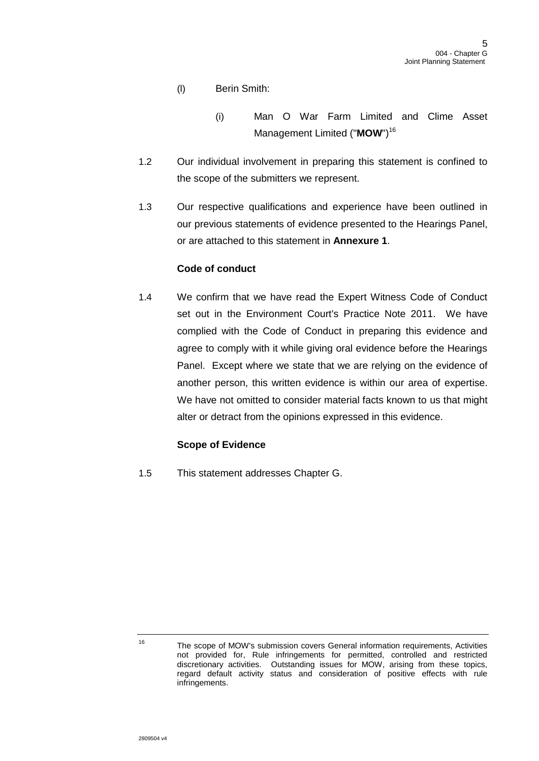- (l) Berin Smith:
	- (i) Man O War Farm Limited and Clime Asset Management Limited ("**MOW**")<sup>16</sup>
- 1.2 Our individual involvement in preparing this statement is confined to the scope of the submitters we represent.
- 1.3 Our respective qualifications and experience have been outlined in our previous statements of evidence presented to the Hearings Panel, or are attached to this statement in **Annexure 1**.

## **Code of conduct**

1.4 We confirm that we have read the Expert Witness Code of Conduct set out in the Environment Court's Practice Note 2011. We have complied with the Code of Conduct in preparing this evidence and agree to comply with it while giving oral evidence before the Hearings Panel. Except where we state that we are relying on the evidence of another person, this written evidence is within our area of expertise. We have not omitted to consider material facts known to us that might alter or detract from the opinions expressed in this evidence.

## **Scope of Evidence**

1.5 This statement addresses Chapter G.

<sup>16</sup> The scope of MOW's submission covers General information requirements, Activities not provided for, Rule infringements for permitted, controlled and restricted discretionary activities. Outstanding issues for MOW, arising from these topics, regard default activity status and consideration of positive effects with rule infringements.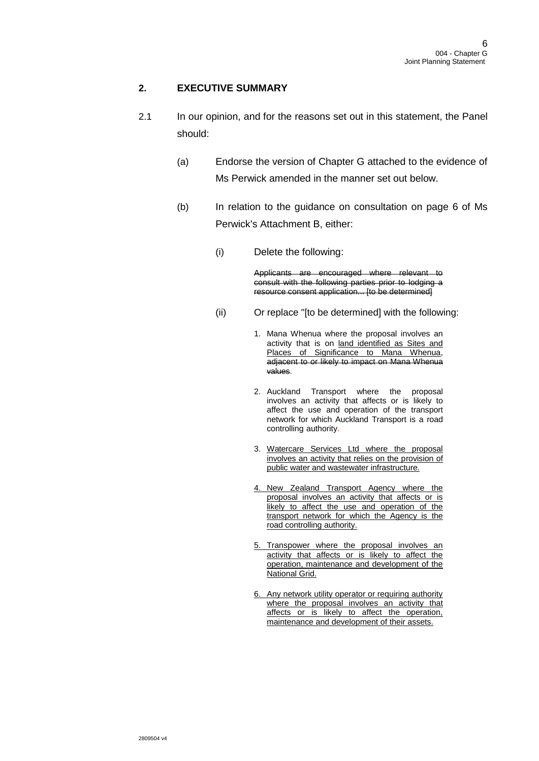# **2. EXECUTIVE SUMMARY**

- 2.1 In our opinion, and for the reasons set out in this statement, the Panel should:
	- (a) Endorse the version of Chapter G attached to the evidence of Ms Perwick amended in the manner set out below.
	- (b) In relation to the guidance on consultation on page 6 of Ms Perwick's Attachment B, either:
		- (i) Delete the following:

Applicants are encouraged where relevant to consult with the following parties prior to lodging a resource consent application... [to be determined]

- (ii) Or replace "[to be determined] with the following:
	- 1. Mana Whenua where the proposal involves an activity that is on land identified as Sites and Places of Significance to Mana Whenua, adjacent to or likely to impact on Mana Whenua values.
	- 2. Auckland Transport where the proposal involves an activity that affects or is likely to affect the use and operation of the transport network for which Auckland Transport is a road controlling authority.
	- 3. Watercare Services Ltd where the proposal involves an activity that relies on the provision of public water and wastewater infrastructure.
	- 4. New Zealand Transport Agency where the proposal involves an activity that affects or is likely to affect the use and operation of the transport network for which the Agency is the road controlling authority.
	- 5. Transpower where the proposal involves an activity that affects or is likely to affect the operation, maintenance and development of the National Grid.
	- 6. Any network utility operator or requiring authority where the proposal involves an activity that affects or is likely to affect the operation, maintenance and development of their assets.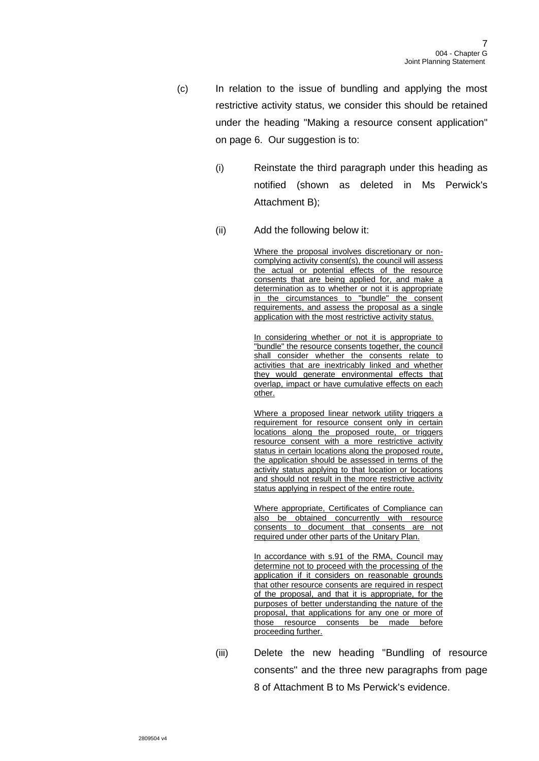- (c) In relation to the issue of bundling and applying the most restrictive activity status, we consider this should be retained under the heading "Making a resource consent application" on page 6. Our suggestion is to:
	- (i) Reinstate the third paragraph under this heading as notified (shown as deleted in Ms Perwick's Attachment B);
	- (ii) Add the following below it:

Where the proposal involves discretionary or noncomplying activity consent(s), the council will assess the actual or potential effects of the resource consents that are being applied for, and make a determination as to whether or not it is appropriate in the circumstances to "bundle" the consent requirements, and assess the proposal as a single application with the most restrictive activity status.

In considering whether or not it is appropriate to "bundle" the resource consents together, the council shall consider whether the consents relate to activities that are inextricably linked and whether they would generate environmental effects that overlap, impact or have cumulative effects on each other.

Where a proposed linear network utility triggers a requirement for resource consent only in certain locations along the proposed route, or triggers resource consent with a more restrictive activity status in certain locations along the proposed route, the application should be assessed in terms of the activity status applying to that location or locations and should not result in the more restrictive activity status applying in respect of the entire route.

Where appropriate, Certificates of Compliance can also be obtained concurrently with resource consents to document that consents are not required under other parts of the Unitary Plan.

In accordance with s.91 of the RMA, Council may determine not to proceed with the processing of the application if it considers on reasonable grounds that other resource consents are required in respect of the proposal, and that it is appropriate, for the purposes of better understanding the nature of the proposal, that applications for any one or more of those resource consents be made before proceeding further.

(iii) Delete the new heading "Bundling of resource consents" and the three new paragraphs from page 8 of Attachment B to Ms Perwick's evidence.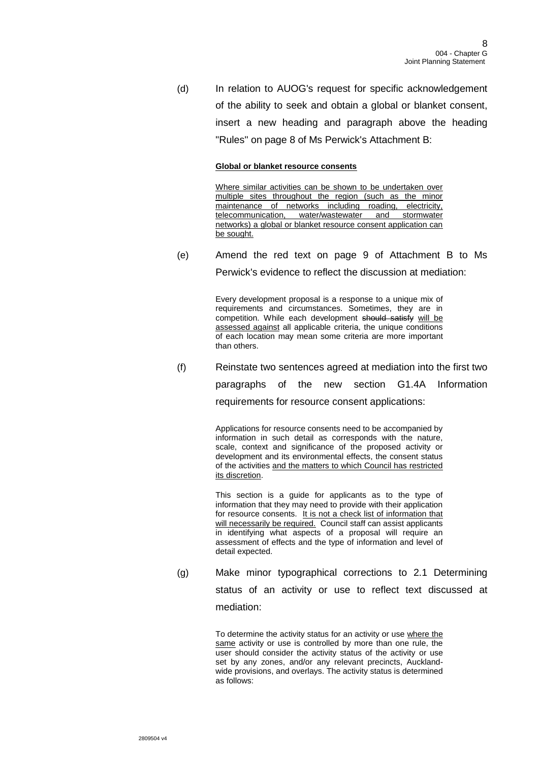(d) In relation to AUOG's request for specific acknowledgement of the ability to seek and obtain a global or blanket consent, insert a new heading and paragraph above the heading "Rules" on page 8 of Ms Perwick's Attachment B:

#### **Global or blanket resource consents**

Where similar activities can be shown to be undertaken over multiple sites throughout the region (such as the minor maintenance of networks including roading, electricity, telecommunication, water/wastewater and stormwater networks) a global or blanket resource consent application can be sought.

(e) Amend the red text on page 9 of Attachment B to Ms Perwick's evidence to reflect the discussion at mediation:

Every development proposal is a response to a unique mix of

requirements and circumstances. Sometimes, they are in competition. While each development should satisfy will be assessed against all applicable criteria, the unique conditions of each location may mean some criteria are more important than others.

(f) Reinstate two sentences agreed at mediation into the first two

paragraphs of the new section G1.4A Information

requirements for resource consent applications:

Applications for resource consents need to be accompanied by information in such detail as corresponds with the nature, scale, context and significance of the proposed activity or development and its environmental effects, the consent status of the activities and the matters to which Council has restricted its discretion.

This section is a guide for applicants as to the type of information that they may need to provide with their application for resource consents. It is not a check list of information that will necessarily be required. Council staff can assist applicants in identifying what aspects of a proposal will require an assessment of effects and the type of information and level of detail expected.

<span id="page-7-0"></span>(g) Make minor typographical corrections to 2.1 Determining status of an activity or use to reflect text discussed at mediation:

> To determine the activity status for an activity or use where the same activity or use is controlled by more than one rule, the user should consider the activity status of the activity or use set by any zones, and/or any relevant precincts, Aucklandwide provisions, and overlays. The activity status is determined as follows: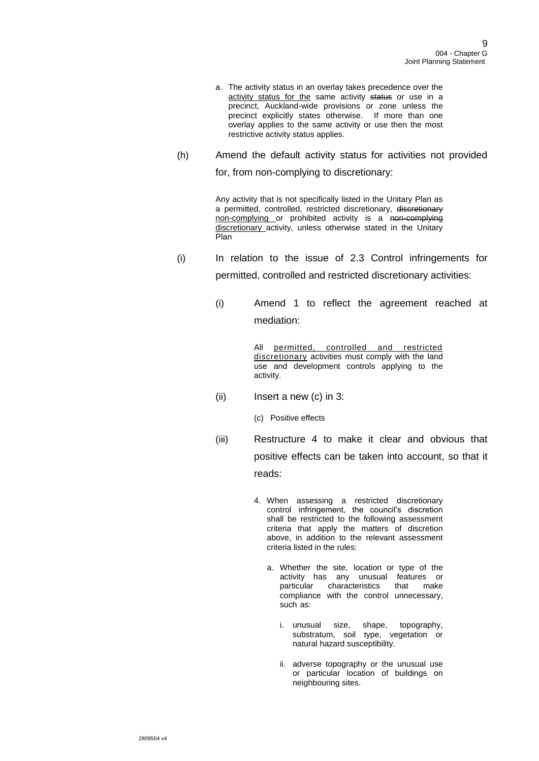- a. The activity status in an overlay takes precedence over the activity status for the same activity status or use in a precinct, Auckland-wide provisions or zone unless the precinct explicitly states otherwise. If more than one overlay applies to the same activity or use then the most restrictive activity status applies.
- (h) Amend the default activity status for activities not provided for, from non-complying to discretionary:

Any activity that is not specifically listed in the Unitary Plan as a permitted, controlled, restricted discretionary, discretionary non-complying or prohibited activity is a non-complying discretionary activity, unless otherwise stated in the Unitary Plan

- (i) In relation to the issue of 2.3 Control infringements for permitted, controlled and restricted discretionary activities:
	- (i) Amend 1 to reflect the agreement reached at mediation:

All permitted, controlled and restricted discretionary activities must comply with the land use and development controls applying to the activity.

- $(ii)$  Insert a new  $(c)$  in 3:
	- (c) Positive effects
- (iii) Restructure 4 to make it clear and obvious that positive effects can be taken into account, so that it reads:
	- 4. When assessing a restricted discretionary control infringement, the council's discretion shall be restricted to the following assessment criteria that apply the matters of discretion above, in addition to the relevant assessment criteria listed in the rules:
		- a. Whether the site, location or type of the activity has any unusual features or particular characteristics that make compliance with the control unnecessary, such as:
			- i. unusual size, shape, topography, substratum, soil type, vegetation or natural hazard susceptibility.
			- ii. adverse topography or the unusual use or particular location of buildings on neighbouring sites.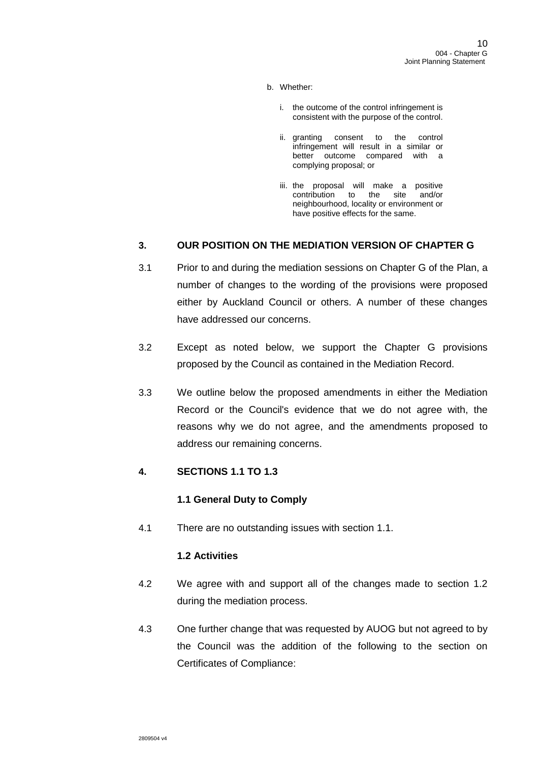- b. Whether:
	- i. the outcome of the control infringement is consistent with the purpose of the control.
	- ii. granting consent to the control infringement will result in a similar or better outcome compared with a complying proposal; or
	- iii. the proposal will make a positive<br>contribution to the site and/or contribution to the site neighbourhood, locality or environment or have positive effects for the same.

# **3. OUR POSITION ON THE MEDIATION VERSION OF CHAPTER G**

- 3.1 Prior to and during the mediation sessions on Chapter G of the Plan, a number of changes to the wording of the provisions were proposed either by Auckland Council or others. A number of these changes have addressed our concerns.
- 3.2 Except as noted below, we support the Chapter G provisions proposed by the Council as contained in the Mediation Record.
- 3.3 We outline below the proposed amendments in either the Mediation Record or the Council's evidence that we do not agree with, the reasons why we do not agree, and the amendments proposed to address our remaining concerns.

## **4. SECTIONS 1.1 TO 1.3**

## **1.1 General Duty to Comply**

4.1 There are no outstanding issues with section 1.1.

## **1.2 Activities**

- 4.2 We agree with and support all of the changes made to section 1.2 during the mediation process.
- 4.3 One further change that was requested by AUOG but not agreed to by the Council was the addition of the following to the section on Certificates of Compliance: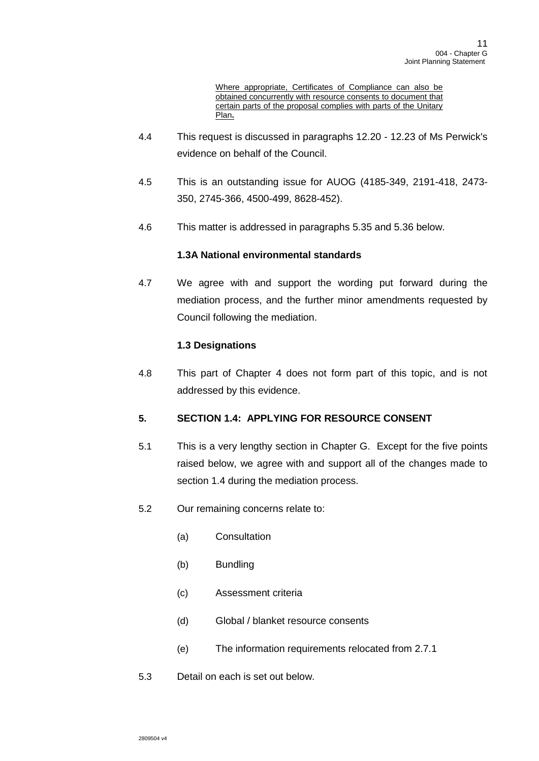Where appropriate, Certificates of Compliance can also be obtained concurrently with resource consents to document that certain parts of the proposal complies with parts of the Unitary Plan**.**

- 4.4 This request is discussed in paragraphs 12.20 12.23 of Ms Perwick's evidence on behalf of the Council.
- 4.5 This is an outstanding issue for AUOG (4185-349, 2191-418, 2473- 350, 2745-366, 4500-499, 8628-452).
- 4.6 This matter is addressed in paragraphs [5.35](#page-18-0) and [5.36](#page-18-1) below.

## **1.3A National environmental standards**

4.7 We agree with and support the wording put forward during the mediation process, and the further minor amendments requested by Council following the mediation.

# **1.3 Designations**

4.8 This part of Chapter 4 does not form part of this topic, and is not addressed by this evidence.

# **5. SECTION 1.4: APPLYING FOR RESOURCE CONSENT**

- 5.1 This is a very lengthy section in Chapter G. Except for the five points raised below, we agree with and support all of the changes made to section 1.4 during the mediation process.
- 5.2 Our remaining concerns relate to:
	- (a) Consultation
	- (b) Bundling
	- (c) Assessment criteria
	- (d) Global / blanket resource consents
	- (e) The information requirements relocated from 2.7.1
- 5.3 Detail on each is set out below.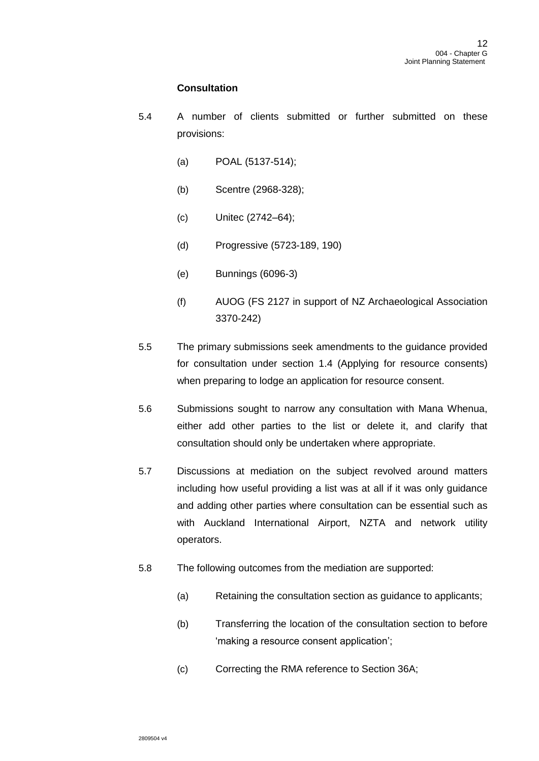## **Consultation**

- 5.4 A number of clients submitted or further submitted on these provisions:
	- (a) POAL (5137-514);
	- (b) Scentre (2968-328);
	- (c) Unitec (2742–64);
	- (d) Progressive (5723-189, 190)
	- (e) Bunnings (6096-3)
	- (f) AUOG (FS 2127 in support of NZ Archaeological Association 3370-242)
- 5.5 The primary submissions seek amendments to the guidance provided for consultation under section 1.4 (Applying for resource consents) when preparing to lodge an application for resource consent.
- 5.6 Submissions sought to narrow any consultation with Mana Whenua, either add other parties to the list or delete it, and clarify that consultation should only be undertaken where appropriate.
- 5.7 Discussions at mediation on the subject revolved around matters including how useful providing a list was at all if it was only guidance and adding other parties where consultation can be essential such as with Auckland International Airport, NZTA and network utility operators.
- 5.8 The following outcomes from the mediation are supported:
	- (a) Retaining the consultation section as guidance to applicants;
	- (b) Transferring the location of the consultation section to before 'making a resource consent application';
	- (c) Correcting the RMA reference to Section 36A;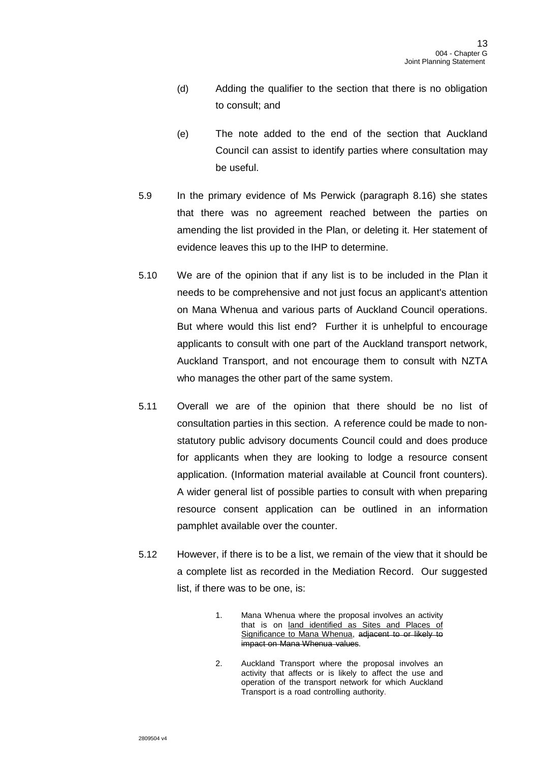- (d) Adding the qualifier to the section that there is no obligation to consult; and
- (e) The note added to the end of the section that Auckland Council can assist to identify parties where consultation may be useful.
- 5.9 In the primary evidence of Ms Perwick (paragraph 8.16) she states that there was no agreement reached between the parties on amending the list provided in the Plan, or deleting it. Her statement of evidence leaves this up to the IHP to determine.
- 5.10 We are of the opinion that if any list is to be included in the Plan it needs to be comprehensive and not just focus an applicant's attention on Mana Whenua and various parts of Auckland Council operations. But where would this list end? Further it is unhelpful to encourage applicants to consult with one part of the Auckland transport network, Auckland Transport, and not encourage them to consult with NZTA who manages the other part of the same system.
- 5.11 Overall we are of the opinion that there should be no list of consultation parties in this section. A reference could be made to nonstatutory public advisory documents Council could and does produce for applicants when they are looking to lodge a resource consent application. (Information material available at Council front counters). A wider general list of possible parties to consult with when preparing resource consent application can be outlined in an information pamphlet available over the counter.
- 5.12 However, if there is to be a list, we remain of the view that it should be a complete list as recorded in the Mediation Record. Our suggested list, if there was to be one, is:
	- 1. Mana Whenua where the proposal involves an activity that is on land identified as Sites and Places of Significance to Mana Whenua, adjacent to or likely to impact on Mana Whenua values.
	- 2. Auckland Transport where the proposal involves an activity that affects or is likely to affect the use and operation of the transport network for which Auckland Transport is a road controlling authority.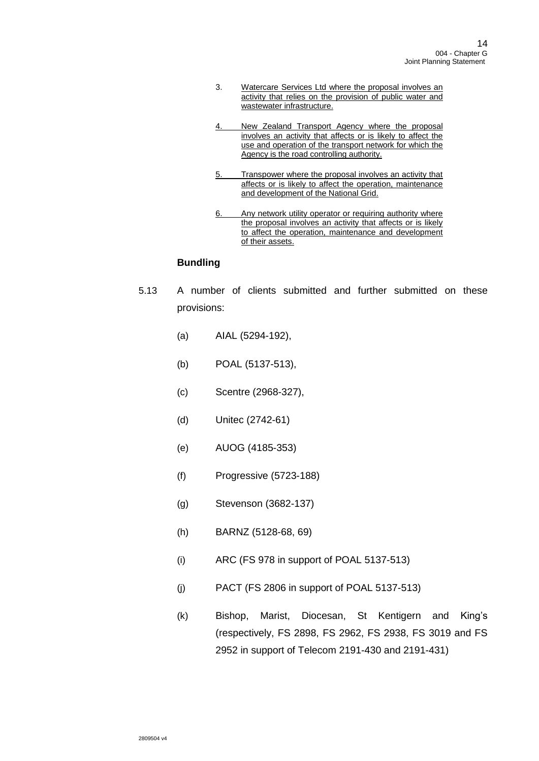- 3. Watercare Services Ltd where the proposal involves an activity that relies on the provision of public water and wastewater infrastructure.
- 4. New Zealand Transport Agency where the proposal involves an activity that affects or is likely to affect the use and operation of the transport network for which the Agency is the road controlling authority.
- 5. Transpower where the proposal involves an activity that affects or is likely to affect the operation, maintenance and development of the National Grid.
- 6. Any network utility operator or requiring authority where the proposal involves an activity that affects or is likely to affect the operation, maintenance and development of their assets.

# **Bundling**

- <span id="page-13-0"></span>5.13 A number of clients submitted and further submitted on these provisions:
	- (a) AIAL (5294-192),
	- (b) POAL (5137-513),
	- (c) Scentre (2968-327),
	- (d) Unitec (2742-61)
	- (e) AUOG (4185-353)
	- (f) Progressive (5723-188)
	- (g) Stevenson (3682-137)
	- (h) BARNZ (5128-68, 69)
	- (i) ARC (FS 978 in support of POAL 5137-513)
	- (j) PACT (FS 2806 in support of POAL 5137-513)
	- (k) Bishop, Marist, Diocesan, St Kentigern and King's (respectively, FS 2898, FS 2962, FS 2938, FS 3019 and FS 2952 in support of Telecom 2191-430 and 2191-431)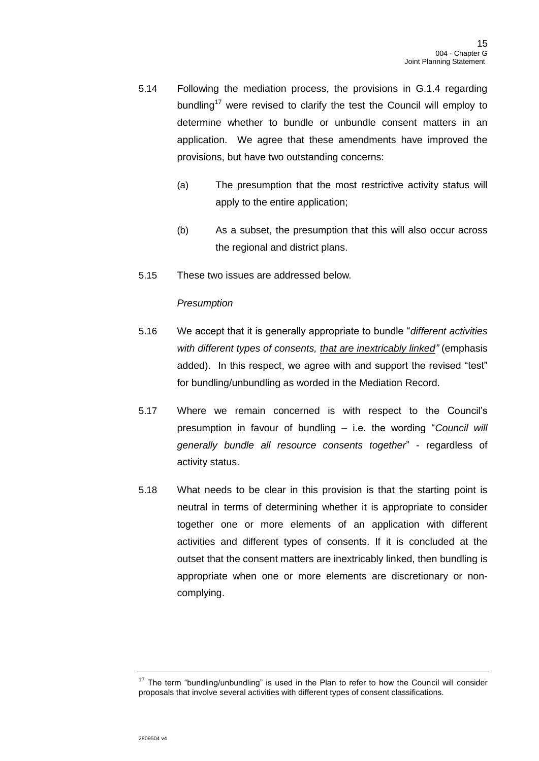- 5.14 Following the mediation process, the provisions in G.1.4 regarding bundling<sup>17</sup> were revised to clarify the test the Council will employ to determine whether to bundle or unbundle consent matters in an application. We agree that these amendments have improved the provisions, but have two outstanding concerns:
	- (a) The presumption that the most restrictive activity status will apply to the entire application;
	- (b) As a subset, the presumption that this will also occur across the regional and district plans.
- 5.15 These two issues are addressed below.

### *Presumption*

- 5.16 We accept that it is generally appropriate to bundle "*different activities with different types of consents, that are inextricably linked"* (emphasis added). In this respect, we agree with and support the revised "test" for bundling/unbundling as worded in the Mediation Record.
- 5.17 Where we remain concerned is with respect to the Council's presumption in favour of bundling – i.e. the wording "*Council will generally bundle all resource consents together*" - regardless of activity status.
- 5.18 What needs to be clear in this provision is that the starting point is neutral in terms of determining whether it is appropriate to consider together one or more elements of an application with different activities and different types of consents. If it is concluded at the outset that the consent matters are inextricably linked, then bundling is appropriate when one or more elements are discretionary or noncomplying.

 $17$  The term "bundling/unbundling" is used in the Plan to refer to how the Council will consider proposals that involve several activities with different types of consent classifications.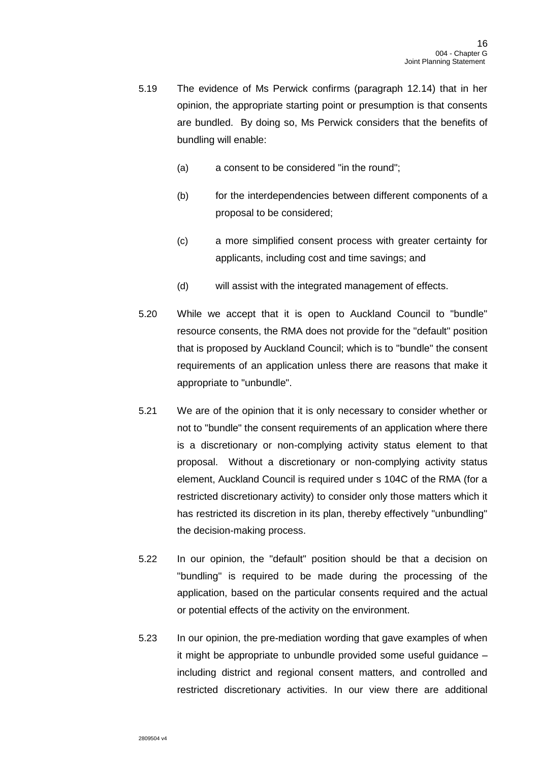- 5.19 The evidence of Ms Perwick confirms (paragraph 12.14) that in her opinion, the appropriate starting point or presumption is that consents are bundled. By doing so, Ms Perwick considers that the benefits of bundling will enable:
	- (a) a consent to be considered "in the round";
	- (b) for the interdependencies between different components of a proposal to be considered;
	- (c) a more simplified consent process with greater certainty for applicants, including cost and time savings; and
	- (d) will assist with the integrated management of effects.
- 5.20 While we accept that it is open to Auckland Council to "bundle" resource consents, the RMA does not provide for the "default" position that is proposed by Auckland Council; which is to "bundle" the consent requirements of an application unless there are reasons that make it appropriate to "unbundle".
- 5.21 We are of the opinion that it is only necessary to consider whether or not to "bundle" the consent requirements of an application where there is a discretionary or non-complying activity status element to that proposal.Without a discretionary or non-complying activity status element, Auckland Council is required under s 104C of the RMA (for a restricted discretionary activity) to consider only those matters which it has restricted its discretion in its plan, thereby effectively "unbundling" the decision-making process.
- 5.22 In our opinion, the "default" position should be that a decision on "bundling" is required to be made during the processing of the application, based on the particular consents required and the actual or potential effects of the activity on the environment.
- 5.23 In our opinion, the pre-mediation wording that gave examples of when it might be appropriate to unbundle provided some useful guidance – including district and regional consent matters, and controlled and restricted discretionary activities. In our view there are additional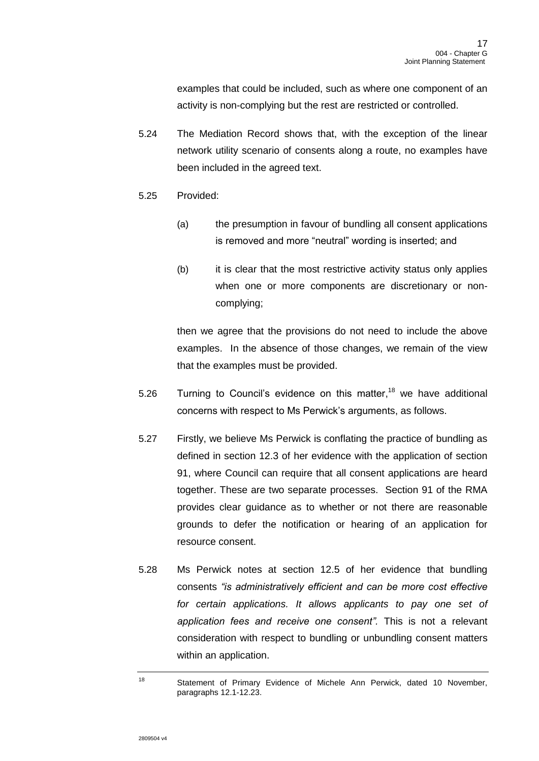examples that could be included, such as where one component of an activity is non-complying but the rest are restricted or controlled.

- 5.24 The Mediation Record shows that, with the exception of the linear network utility scenario of consents along a route, no examples have been included in the agreed text.
- 5.25 Provided:
	- (a) the presumption in favour of bundling all consent applications is removed and more "neutral" wording is inserted; and
	- (b) it is clear that the most restrictive activity status only applies when one or more components are discretionary or noncomplying;

then we agree that the provisions do not need to include the above examples. In the absence of those changes, we remain of the view that the examples must be provided.

- 5.26 Turning to Council's evidence on this matter,<sup>18</sup> we have additional concerns with respect to Ms Perwick's arguments, as follows.
- 5.27 Firstly, we believe Ms Perwick is conflating the practice of bundling as defined in section 12.3 of her evidence with the application of section 91, where Council can require that all consent applications are heard together. These are two separate processes. Section 91 of the RMA provides clear guidance as to whether or not there are reasonable grounds to defer the notification or hearing of an application for resource consent.
- 5.28 Ms Perwick notes at section 12.5 of her evidence that bundling consents *"is administratively efficient and can be more cost effective*  for certain applications. It allows applicants to pay one set of *application fees and receive one consent".* This is not a relevant consideration with respect to bundling or unbundling consent matters within an application.

<sup>18</sup> Statement of Primary Evidence of Michele Ann Perwick, dated 10 November, paragraphs 12.1-12.23.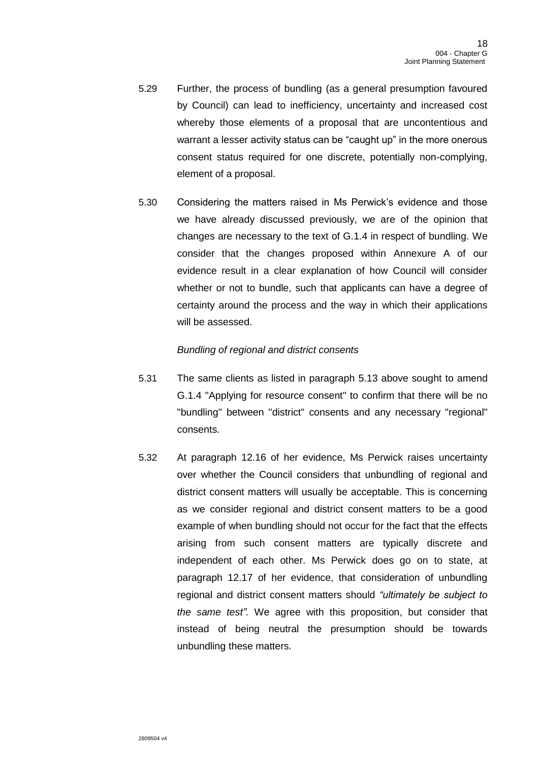- 5.29 Further, the process of bundling (as a general presumption favoured by Council) can lead to inefficiency, uncertainty and increased cost whereby those elements of a proposal that are uncontentious and warrant a lesser activity status can be "caught up" in the more onerous consent status required for one discrete, potentially non-complying, element of a proposal.
- 5.30 Considering the matters raised in Ms Perwick's evidence and those we have already discussed previously, we are of the opinion that changes are necessary to the text of G.1.4 in respect of bundling. We consider that the changes proposed within Annexure A of our evidence result in a clear explanation of how Council will consider whether or not to bundle, such that applicants can have a degree of certainty around the process and the way in which their applications will be assessed.

### *Bundling of regional and district consents*

- 5.31 The same clients as listed in paragraph [5.13](#page-13-0) above sought to amend G.1.4 "Applying for resource consent" to confirm that there will be no "bundling" between "district" consents and any necessary "regional" consents.
- 5.32 At paragraph 12.16 of her evidence, Ms Perwick raises uncertainty over whether the Council considers that unbundling of regional and district consent matters will usually be acceptable. This is concerning as we consider regional and district consent matters to be a good example of when bundling should not occur for the fact that the effects arising from such consent matters are typically discrete and independent of each other. Ms Perwick does go on to state, at paragraph 12.17 of her evidence, that consideration of unbundling regional and district consent matters should *"ultimately be subject to the same test".* We agree with this proposition, but consider that instead of being neutral the presumption should be towards unbundling these matters.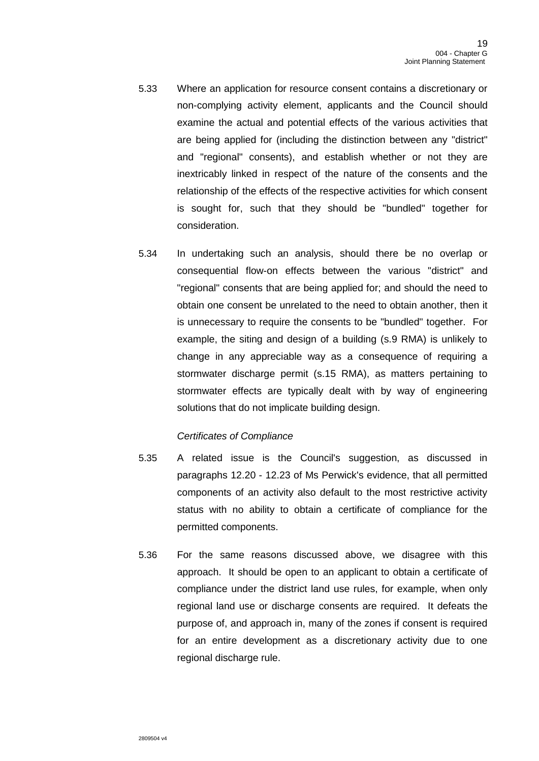- 5.33 Where an application for resource consent contains a discretionary or non-complying activity element, applicants and the Council should examine the actual and potential effects of the various activities that are being applied for (including the distinction between any "district" and "regional" consents), and establish whether or not they are inextricably linked in respect of the nature of the consents and the relationship of the effects of the respective activities for which consent is sought for, such that they should be "bundled" together for consideration.
- 5.34 In undertaking such an analysis, should there be no overlap or consequential flow-on effects between the various "district" and "regional" consents that are being applied for; and should the need to obtain one consent be unrelated to the need to obtain another, then it is unnecessary to require the consents to be "bundled" together. For example, the siting and design of a building (s.9 RMA) is unlikely to change in any appreciable way as a consequence of requiring a stormwater discharge permit (s.15 RMA), as matters pertaining to stormwater effects are typically dealt with by way of engineering solutions that do not implicate building design.

### *Certificates of Compliance*

- <span id="page-18-0"></span>5.35 A related issue is the Council's suggestion, as discussed in paragraphs 12.20 - 12.23 of Ms Perwick's evidence, that all permitted components of an activity also default to the most restrictive activity status with no ability to obtain a certificate of compliance for the permitted components.
- <span id="page-18-1"></span>5.36 For the same reasons discussed above, we disagree with this approach. It should be open to an applicant to obtain a certificate of compliance under the district land use rules, for example, when only regional land use or discharge consents are required. It defeats the purpose of, and approach in, many of the zones if consent is required for an entire development as a discretionary activity due to one regional discharge rule.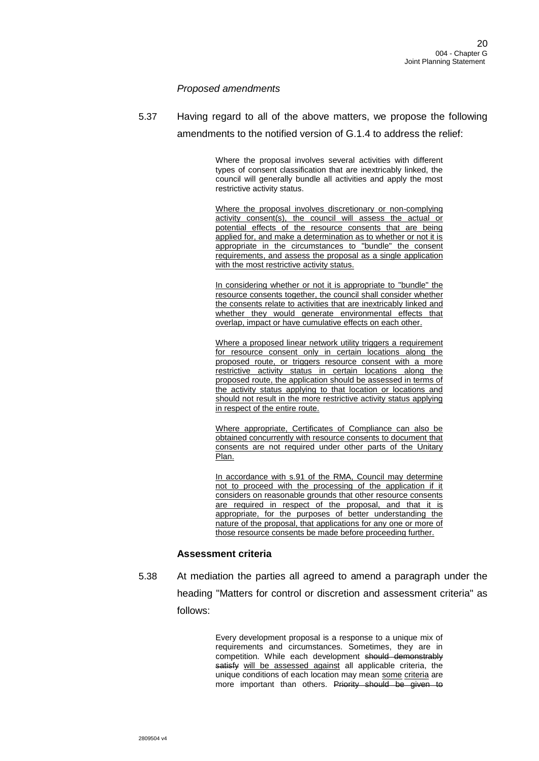### *Proposed amendments*

5.37 Having regard to all of the above matters, we propose the following amendments to the notified version of G.1.4 to address the relief:

> Where the proposal involves several activities with different types of consent classification that are inextricably linked, the council will generally bundle all activities and apply the most restrictive activity status.

> Where the proposal involves discretionary or non-complying activity consent(s), the council will assess the actual or potential effects of the resource consents that are being applied for, and make a determination as to whether or not it is appropriate in the circumstances to "bundle" the consent requirements, and assess the proposal as a single application with the most restrictive activity status.

> In considering whether or not it is appropriate to "bundle" the resource consents together, the council shall consider whether the consents relate to activities that are inextricably linked and whether they would generate environmental effects that overlap, impact or have cumulative effects on each other.

> Where a proposed linear network utility triggers a requirement for resource consent only in certain locations along the proposed route, or triggers resource consent with a more restrictive activity status in certain locations along the proposed route, the application should be assessed in terms of the activity status applying to that location or locations and should not result in the more restrictive activity status applying in respect of the entire route.

> Where appropriate, Certificates of Compliance can also be obtained concurrently with resource consents to document that consents are not required under other parts of the Unitary Plan.

> In accordance with s.91 of the RMA, Council may determine not to proceed with the processing of the application if it considers on reasonable grounds that other resource consents are required in respect of the proposal, and that it is appropriate, for the purposes of better understanding the nature of the proposal, that applications for any one or more of those resource consents be made before proceeding further.

#### **Assessment criteria**

5.38 At mediation the parties all agreed to amend a paragraph under the heading "Matters for control or discretion and assessment criteria" as follows:

> Every development proposal is a response to a unique mix of requirements and circumstances. Sometimes, they are in competition. While each development should demonstrably satisfy will be assessed against all applicable criteria, the unique conditions of each location may mean some criteria are more important than others. Priority should be given to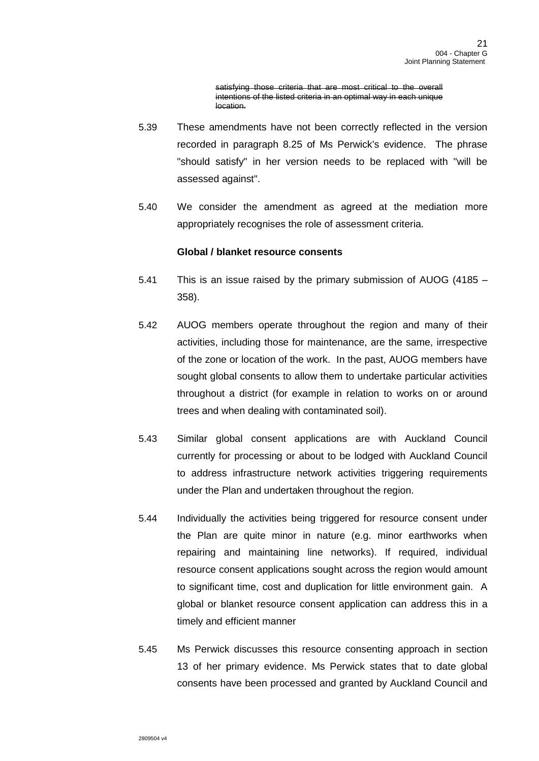satisfying those criteria that are most critical to the overall intentions of the listed criteria in an optimal way in each unique location.

- 5.39 These amendments have not been correctly reflected in the version recorded in paragraph 8.25 of Ms Perwick's evidence. The phrase "should satisfy" in her version needs to be replaced with "will be assessed against".
- 5.40 We consider the amendment as agreed at the mediation more appropriately recognises the role of assessment criteria.

### **Global / blanket resource consents**

- 5.41 This is an issue raised by the primary submission of AUOG (4185 358).
- 5.42 AUOG members operate throughout the region and many of their activities, including those for maintenance, are the same, irrespective of the zone or location of the work. In the past, AUOG members have sought global consents to allow them to undertake particular activities throughout a district (for example in relation to works on or around trees and when dealing with contaminated soil).
- 5.43 Similar global consent applications are with Auckland Council currently for processing or about to be lodged with Auckland Council to address infrastructure network activities triggering requirements under the Plan and undertaken throughout the region.
- 5.44 Individually the activities being triggered for resource consent under the Plan are quite minor in nature (e.g. minor earthworks when repairing and maintaining line networks). If required, individual resource consent applications sought across the region would amount to significant time, cost and duplication for little environment gain. A global or blanket resource consent application can address this in a timely and efficient manner
- 5.45 Ms Perwick discusses this resource consenting approach in section 13 of her primary evidence. Ms Perwick states that to date global consents have been processed and granted by Auckland Council and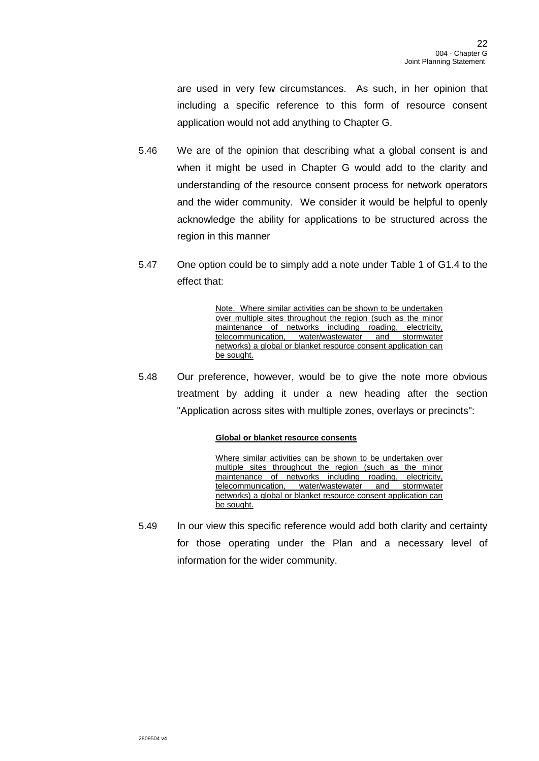are used in very few circumstances. As such, in her opinion that including a specific reference to this form of resource consent application would not add anything to Chapter G.

- 5.46 We are of the opinion that describing what a global consent is and when it might be used in Chapter G would add to the clarity and understanding of the resource consent process for network operators and the wider community. We consider it would be helpful to openly acknowledge the ability for applications to be structured across the region in this manner
- 5.47 One option could be to simply add a note under Table 1 of G1.4 to the effect that:

Note. Where similar activities can be shown to be undertaken over multiple sites throughout the region (such as the minor maintenance of networks including roading, electricity, telecommunication, water/wastewater and stormwater networks) a global or blanket resource consent application can be sought.

5.48 Our preference, however, would be to give the note more obvious treatment by adding it under a new heading after the section "Application across sites with multiple zones, overlays or precincts":

#### **Global or blanket resource consents**

Where similar activities can be shown to be undertaken over multiple sites throughout the region (such as the minor maintenance of networks including roading, electricity, telecommunication, water/wastewater and stormwater networks) a global or blanket resource consent application can be sought.

5.49 In our view this specific reference would add both clarity and certainty for those operating under the Plan and a necessary level of information for the wider community.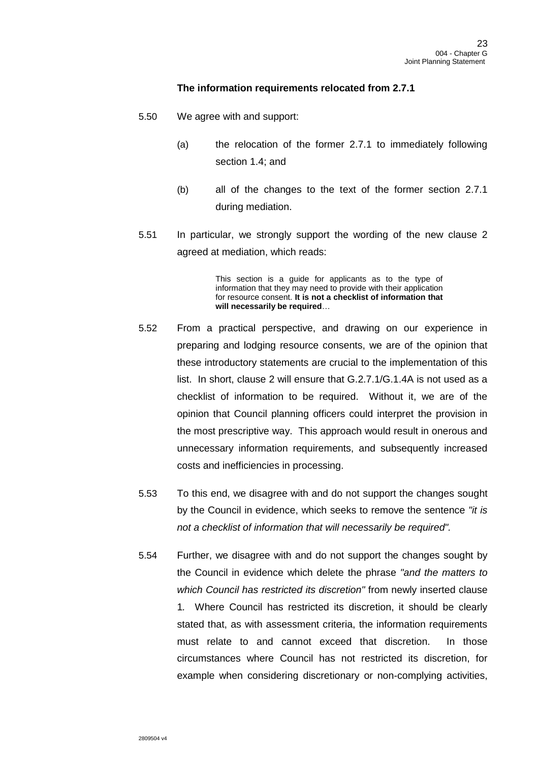### **The information requirements relocated from 2.7.1**

- 5.50 We agree with and support:
	- (a) the relocation of the former 2.7.1 to immediately following section 1.4; and
	- (b) all of the changes to the text of the former section 2.7.1 during mediation.
- 5.51 In particular, we strongly support the wording of the new clause 2 agreed at mediation, which reads:

This section is a guide for applicants as to the type of information that they may need to provide with their application for resource consent. **It is not a checklist of information that will necessarily be required**…

- 5.52 From a practical perspective, and drawing on our experience in preparing and lodging resource consents, we are of the opinion that these introductory statements are crucial to the implementation of this list. In short, clause 2 will ensure that G.2.7.1/G.1.4A is not used as a checklist of information to be required. Without it, we are of the opinion that Council planning officers could interpret the provision in the most prescriptive way. This approach would result in onerous and unnecessary information requirements, and subsequently increased costs and inefficiencies in processing.
- 5.53 To this end, we disagree with and do not support the changes sought by the Council in evidence, which seeks to remove the sentence *"it is not a checklist of information that will necessarily be required".*
- 5.54 Further, we disagree with and do not support the changes sought by the Council in evidence which delete the phrase *"and the matters to which Council has restricted its discretion"* from newly inserted clause 1*.* Where Council has restricted its discretion, it should be clearly stated that, as with assessment criteria, the information requirements must relate to and cannot exceed that discretion. In those circumstances where Council has not restricted its discretion, for example when considering discretionary or non-complying activities,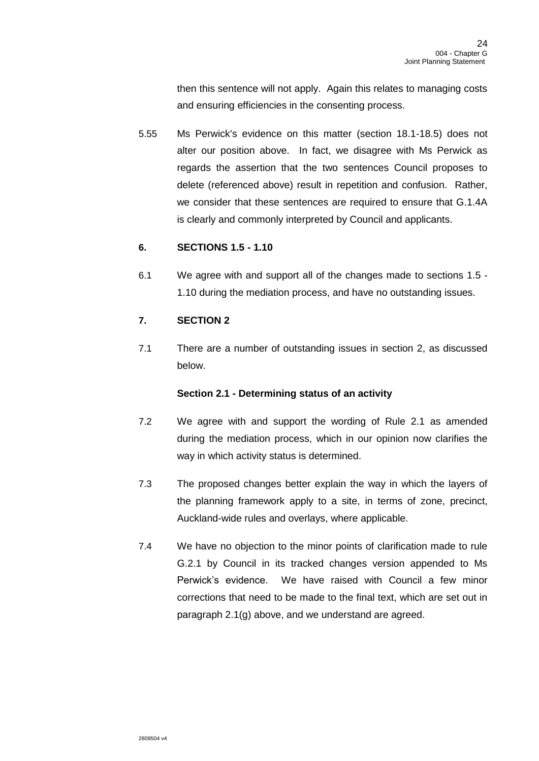then this sentence will not apply. Again this relates to managing costs and ensuring efficiencies in the consenting process.

5.55 Ms Perwick's evidence on this matter (section 18.1-18.5) does not alter our position above. In fact, we disagree with Ms Perwick as regards the assertion that the two sentences Council proposes to delete (referenced above) result in repetition and confusion. Rather, we consider that these sentences are required to ensure that G.1.4A is clearly and commonly interpreted by Council and applicants.

# **6. SECTIONS 1.5 - 1.10**

6.1 We agree with and support all of the changes made to sections 1.5 - 1.10 during the mediation process, and have no outstanding issues.

# **7. SECTION 2**

7.1 There are a number of outstanding issues in section 2, as discussed below.

## **Section 2.1 - Determining status of an activity**

- 7.2 We agree with and support the wording of Rule 2.1 as amended during the mediation process, which in our opinion now clarifies the way in which activity status is determined.
- 7.3 The proposed changes better explain the way in which the layers of the planning framework apply to a site, in terms of zone, precinct, Auckland-wide rules and overlays, where applicable.
- 7.4 We have no objection to the minor points of clarification made to rule G.2.1 by Council in its tracked changes version appended to Ms Perwick's evidence. We have raised with Council a few minor corrections that need to be made to the final text, which are set out in paragraph [2.1\(g\)](#page-7-0) above, and we understand are agreed.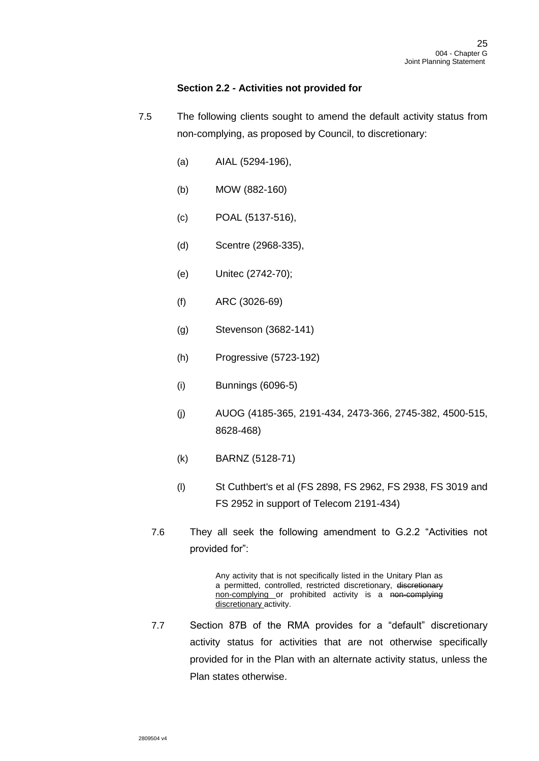### **Section 2.2 - Activities not provided for**

- 7.5 The following clients sought to amend the default activity status from non-complying, as proposed by Council, to discretionary:
	- (a) AIAL (5294-196),
	- (b) MOW (882-160)
	- (c) POAL (5137-516),
	- (d) Scentre (2968-335),
	- (e) Unitec (2742-70);
	- (f) ARC (3026-69)
	- (g) Stevenson (3682-141)
	- (h) Progressive (5723-192)
	- (i) Bunnings (6096-5)
	- (j) AUOG (4185-365, 2191-434, 2473-366, 2745-382, 4500-515, 8628-468)
	- (k) BARNZ (5128-71)
	- (l) St Cuthbert's et al (FS 2898, FS 2962, FS 2938, FS 3019 and FS 2952 in support of Telecom 2191-434)
	- 7.6 They all seek the following amendment to G.2.2 "Activities not provided for":

Any activity that is not specifically listed in the Unitary Plan as a permitted, controlled, restricted discretionary, discretionary non-complying or prohibited activity is a non-complying discretionary activity.

7.7 Section 87B of the RMA provides for a "default" discretionary activity status for activities that are not otherwise specifically provided for in the Plan with an alternate activity status, unless the Plan states otherwise.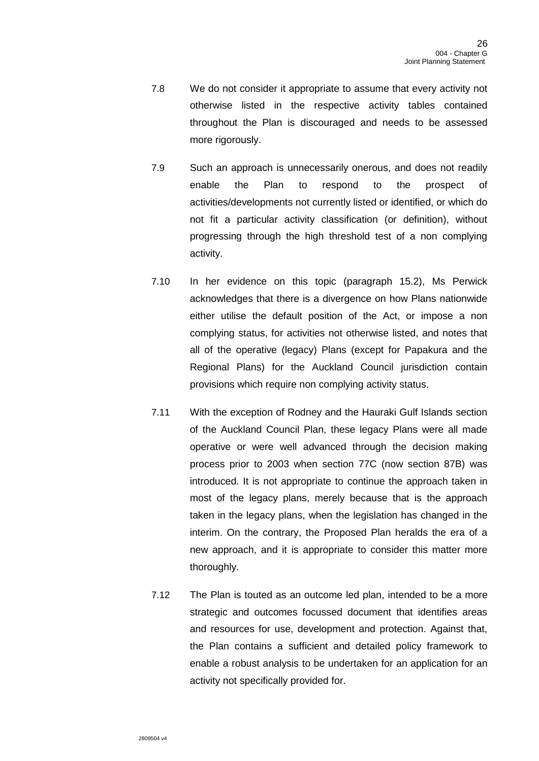- 7.8 We do not consider it appropriate to assume that every activity not otherwise listed in the respective activity tables contained throughout the Plan is discouraged and needs to be assessed more rigorously.
- 7.9 Such an approach is unnecessarily onerous, and does not readily enable the Plan to respond to the prospect of activities/developments not currently listed or identified, or which do not fit a particular activity classification (or definition), without progressing through the high threshold test of a non complying activity.
- 7.10 In her evidence on this topic (paragraph 15.2), Ms Perwick acknowledges that there is a divergence on how Plans nationwide either utilise the default position of the Act, or impose a non complying status, for activities not otherwise listed, and notes that all of the operative (legacy) Plans (except for Papakura and the Regional Plans) for the Auckland Council jurisdiction contain provisions which require non complying activity status.
- 7.11 With the exception of Rodney and the Hauraki Gulf Islands section of the Auckland Council Plan, these legacy Plans were all made operative or were well advanced through the decision making process prior to 2003 when section 77C (now section 87B) was introduced. It is not appropriate to continue the approach taken in most of the legacy plans, merely because that is the approach taken in the legacy plans, when the legislation has changed in the interim. On the contrary, the Proposed Plan heralds the era of a new approach, and it is appropriate to consider this matter more thoroughly.
- 7.12 The Plan is touted as an outcome led plan, intended to be a more strategic and outcomes focussed document that identifies areas and resources for use, development and protection. Against that, the Plan contains a sufficient and detailed policy framework to enable a robust analysis to be undertaken for an application for an activity not specifically provided for.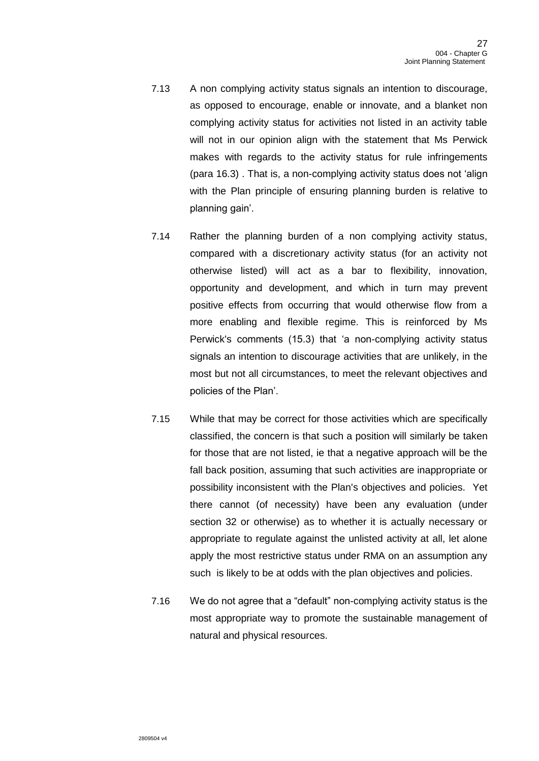- 7.13 A non complying activity status signals an intention to discourage, as opposed to encourage, enable or innovate, and a blanket non complying activity status for activities not listed in an activity table will not in our opinion align with the statement that Ms Perwick makes with regards to the activity status for rule infringements (para 16.3) . That is, a non-complying activity status does not 'align with the Plan principle of ensuring planning burden is relative to planning gain'.
- 7.14 Rather the planning burden of a non complying activity status, compared with a discretionary activity status (for an activity not otherwise listed) will act as a bar to flexibility, innovation, opportunity and development, and which in turn may prevent positive effects from occurring that would otherwise flow from a more enabling and flexible regime. This is reinforced by Ms Perwick's comments (15.3) that 'a non-complying activity status signals an intention to discourage activities that are unlikely, in the most but not all circumstances, to meet the relevant objectives and policies of the Plan'.
- 7.15 While that may be correct for those activities which are specifically classified, the concern is that such a position will similarly be taken for those that are not listed, ie that a negative approach will be the fall back position, assuming that such activities are inappropriate or possibility inconsistent with the Plan's objectives and policies. Yet there cannot (of necessity) have been any evaluation (under section 32 or otherwise) as to whether it is actually necessary or appropriate to regulate against the unlisted activity at all, let alone apply the most restrictive status under RMA on an assumption any such is likely to be at odds with the plan objectives and policies.
- 7.16 We do not agree that a "default" non-complying activity status is the most appropriate way to promote the sustainable management of natural and physical resources.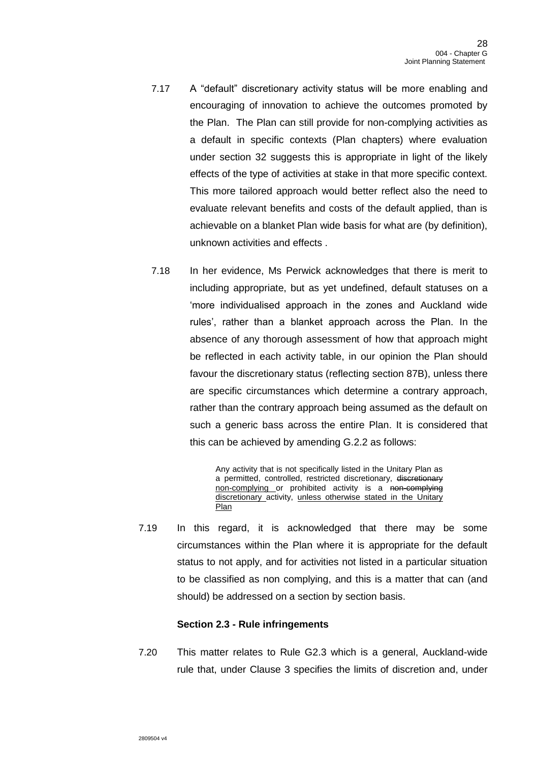- 7.17 A "default" discretionary activity status will be more enabling and encouraging of innovation to achieve the outcomes promoted by the Plan. The Plan can still provide for non-complying activities as a default in specific contexts (Plan chapters) where evaluation under section 32 suggests this is appropriate in light of the likely effects of the type of activities at stake in that more specific context. This more tailored approach would better reflect also the need to evaluate relevant benefits and costs of the default applied, than is achievable on a blanket Plan wide basis for what are (by definition), unknown activities and effects .
- 7.18 In her evidence, Ms Perwick acknowledges that there is merit to including appropriate, but as yet undefined, default statuses on a 'more individualised approach in the zones and Auckland wide rules', rather than a blanket approach across the Plan. In the absence of any thorough assessment of how that approach might be reflected in each activity table, in our opinion the Plan should favour the discretionary status (reflecting section 87B), unless there are specific circumstances which determine a contrary approach, rather than the contrary approach being assumed as the default on such a generic bass across the entire Plan. It is considered that this can be achieved by amending G.2.2 as follows:

Any activity that is not specifically listed in the Unitary Plan as a permitted, controlled, restricted discretionary, discretionary non-complying or prohibited activity is a non-complying discretionary activity, unless otherwise stated in the Unitary Plan

7.19 In this regard, it is acknowledged that there may be some circumstances within the Plan where it is appropriate for the default status to not apply, and for activities not listed in a particular situation to be classified as non complying, and this is a matter that can (and should) be addressed on a section by section basis.

### **Section 2.3 - Rule infringements**

7.20 This matter relates to Rule G2.3 which is a general, Auckland-wide rule that, under Clause 3 specifies the limits of discretion and, under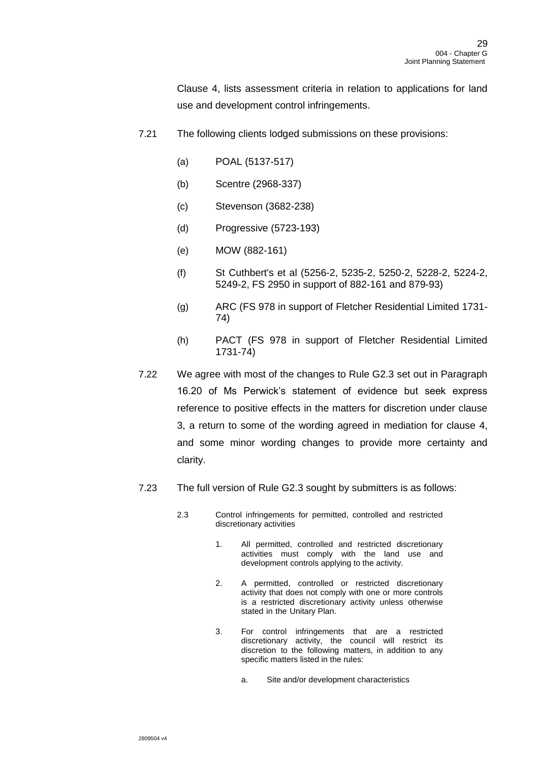Clause 4, lists assessment criteria in relation to applications for land use and development control infringements.

- 7.21 The following clients lodged submissions on these provisions:
	- (a) POAL (5137-517)
	- (b) Scentre (2968-337)
	- (c) Stevenson (3682-238)
	- (d) Progressive (5723-193)
	- (e) MOW (882-161)
	- (f) St Cuthbert's et al (5256-2, 5235-2, 5250-2, 5228-2, 5224-2, 5249-2, FS 2950 in support of 882-161 and 879-93)
	- (g) ARC (FS 978 in support of Fletcher Residential Limited 1731- 74)
	- (h) PACT (FS 978 in support of Fletcher Residential Limited 1731-74)
- 7.22 We agree with most of the changes to Rule G2.3 set out in Paragraph 16.20 of Ms Perwick's statement of evidence but seek express reference to positive effects in the matters for discretion under clause 3, a return to some of the wording agreed in mediation for clause 4, and some minor wording changes to provide more certainty and clarity.
- 7.23 The full version of Rule G2.3 sought by submitters is as follows:
	- 2.3 Control infringements for permitted, controlled and restricted discretionary activities
		- 1. All permitted, controlled and restricted discretionary activities must comply with the land use and development controls applying to the activity.
		- 2. A permitted, controlled or restricted discretionary activity that does not comply with one or more controls is a restricted discretionary activity unless otherwise stated in the Unitary Plan.
		- 3. For control infringements that are a restricted discretionary activity, the council will restrict its discretion to the following matters, in addition to any specific matters listed in the rules:
			- a. Site and/or development characteristics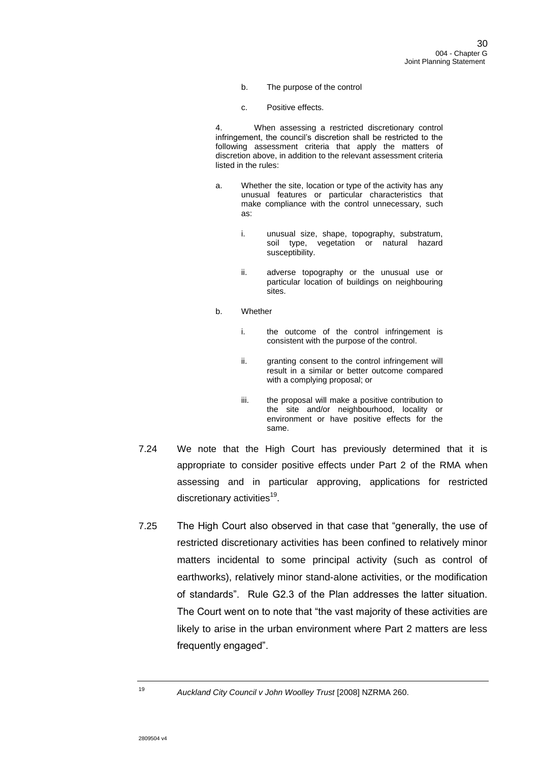- b. The purpose of the control
- c. Positive effects.

4. When assessing a restricted discretionary control infringement, the council's discretion shall be restricted to the following assessment criteria that apply the matters of discretion above, in addition to the relevant assessment criteria listed in the rules:

- a. Whether the site, location or type of the activity has any unusual features or particular characteristics that make compliance with the control unnecessary, such as:
	- i. unusual size, shape, topography, substratum, soil type, vegetation or natural hazard susceptibility.
	- ii. adverse topography or the unusual use or particular location of buildings on neighbouring sites.
- b. Whether
	- i. the outcome of the control infringement is consistent with the purpose of the control.
	- ii. granting consent to the control infringement will result in a similar or better outcome compared with a complying proposal; or
	- iii. the proposal will make a positive contribution to the site and/or neighbourhood, locality or environment or have positive effects for the same.
- 7.24 We note that the High Court has previously determined that it is appropriate to consider positive effects under Part 2 of the RMA when assessing and in particular approving, applications for restricted discretionary activities<sup>19</sup>.
- 7.25 The High Court also observed in that case that "generally, the use of restricted discretionary activities has been confined to relatively minor matters incidental to some principal activity (such as control of earthworks), relatively minor stand-alone activities, or the modification of standards". Rule G2.3 of the Plan addresses the latter situation. The Court went on to note that "the vast majority of these activities are likely to arise in the urban environment where Part 2 matters are less frequently engaged".

<sup>19</sup> *Auckland City Council v John Woolley Trust* [2008] NZRMA 260.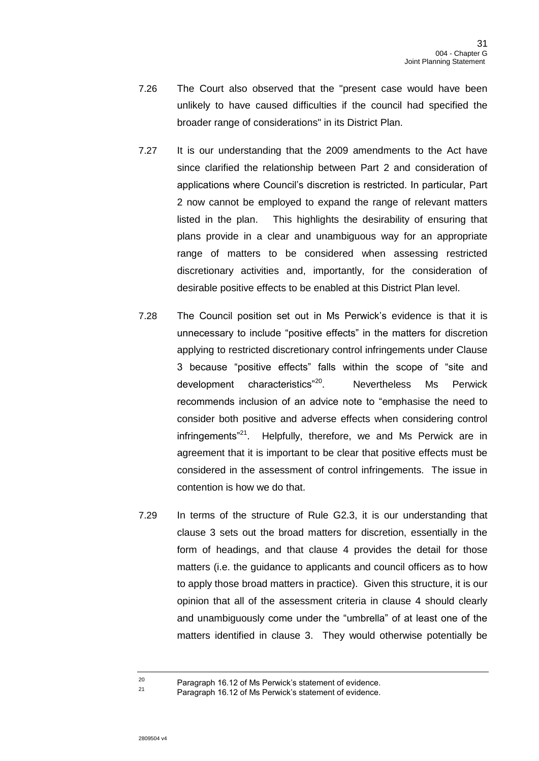- 7.26 The Court also observed that the "present case would have been unlikely to have caused difficulties if the council had specified the broader range of considerations" in its District Plan.
- 7.27 It is our understanding that the 2009 amendments to the Act have since clarified the relationship between Part 2 and consideration of applications where Council's discretion is restricted. In particular, Part 2 now cannot be employed to expand the range of relevant matters listed in the plan. This highlights the desirability of ensuring that plans provide in a clear and unambiguous way for an appropriate range of matters to be considered when assessing restricted discretionary activities and, importantly, for the consideration of desirable positive effects to be enabled at this District Plan level.
- 7.28 The Council position set out in Ms Perwick's evidence is that it is unnecessary to include "positive effects" in the matters for discretion applying to restricted discretionary control infringements under Clause 3 because "positive effects" falls within the scope of "site and development characteristics"<sup>20</sup>. Nevertheless Ms Perwick recommends inclusion of an advice note to "emphasise the need to consider both positive and adverse effects when considering control infringements"<sup>21</sup>. Helpfully, therefore, we and Ms Perwick are in agreement that it is important to be clear that positive effects must be considered in the assessment of control infringements. The issue in contention is how we do that.
- 7.29 In terms of the structure of Rule G2.3, it is our understanding that clause 3 sets out the broad matters for discretion, essentially in the form of headings, and that clause 4 provides the detail for those matters (i.e. the guidance to applicants and council officers as to how to apply those broad matters in practice). Given this structure, it is our opinion that all of the assessment criteria in clause 4 should clearly and unambiguously come under the "umbrella" of at least one of the matters identified in clause 3. They would otherwise potentially be

<sup>20</sup> Paragraph 16.12 of Ms Perwick's statement of evidence.

Paragraph 16.12 of Ms Perwick's statement of evidence.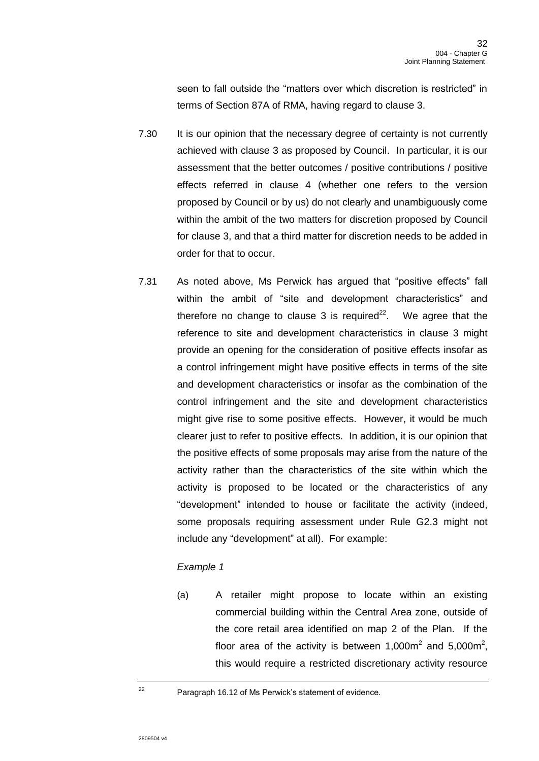seen to fall outside the "matters over which discretion is restricted" in terms of Section 87A of RMA, having regard to clause 3.

- 7.30 It is our opinion that the necessary degree of certainty is not currently achieved with clause 3 as proposed by Council. In particular, it is our assessment that the better outcomes / positive contributions / positive effects referred in clause 4 (whether one refers to the version proposed by Council or by us) do not clearly and unambiguously come within the ambit of the two matters for discretion proposed by Council for clause 3, and that a third matter for discretion needs to be added in order for that to occur.
- 7.31 As noted above, Ms Perwick has argued that "positive effects" fall within the ambit of "site and development characteristics" and therefore no change to clause 3 is required<sup>22</sup>. . We agree that the reference to site and development characteristics in clause 3 might provide an opening for the consideration of positive effects insofar as a control infringement might have positive effects in terms of the site and development characteristics or insofar as the combination of the control infringement and the site and development characteristics might give rise to some positive effects. However, it would be much clearer just to refer to positive effects. In addition, it is our opinion that the positive effects of some proposals may arise from the nature of the activity rather than the characteristics of the site within which the activity is proposed to be located or the characteristics of any "development" intended to house or facilitate the activity (indeed, some proposals requiring assessment under Rule G2.3 might not include any "development" at all). For example:

## *Example 1*

(a) A retailer might propose to locate within an existing commercial building within the Central Area zone, outside of the core retail area identified on map 2 of the Plan. If the floor area of the activity is between 1,000 $m^2$  and 5,000 $m^2$ , this would require a restricted discretionary activity resource

<sup>22</sup> Paragraph 16.12 of Ms Perwick's statement of evidence.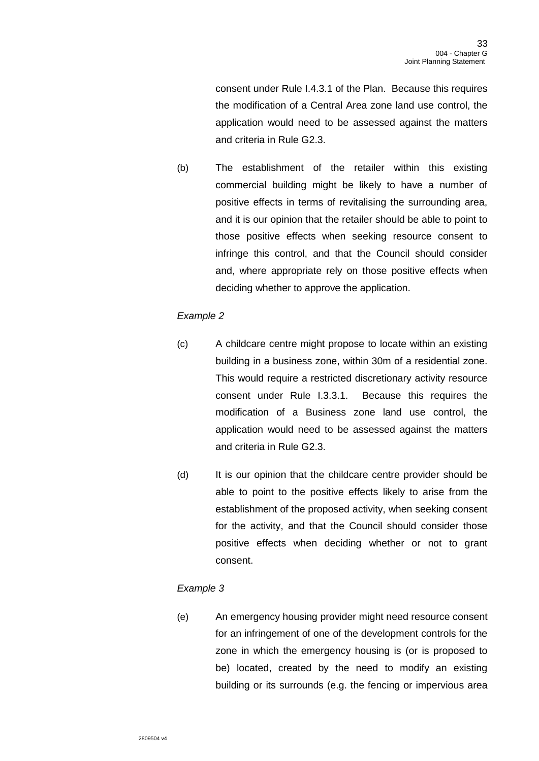consent under Rule I.4.3.1 of the Plan. Because this requires the modification of a Central Area zone land use control, the application would need to be assessed against the matters and criteria in Rule G2.3.

(b) The establishment of the retailer within this existing commercial building might be likely to have a number of positive effects in terms of revitalising the surrounding area, and it is our opinion that the retailer should be able to point to those positive effects when seeking resource consent to infringe this control, and that the Council should consider and, where appropriate rely on those positive effects when deciding whether to approve the application.

## *Example 2*

- (c) A childcare centre might propose to locate within an existing building in a business zone, within 30m of a residential zone. This would require a restricted discretionary activity resource consent under Rule I.3.3.1. Because this requires the modification of a Business zone land use control, the application would need to be assessed against the matters and criteria in Rule G2.3.
- (d) It is our opinion that the childcare centre provider should be able to point to the positive effects likely to arise from the establishment of the proposed activity, when seeking consent for the activity, and that the Council should consider those positive effects when deciding whether or not to grant consent.

## *Example 3*

(e) An emergency housing provider might need resource consent for an infringement of one of the development controls for the zone in which the emergency housing is (or is proposed to be) located, created by the need to modify an existing building or its surrounds (e.g. the fencing or impervious area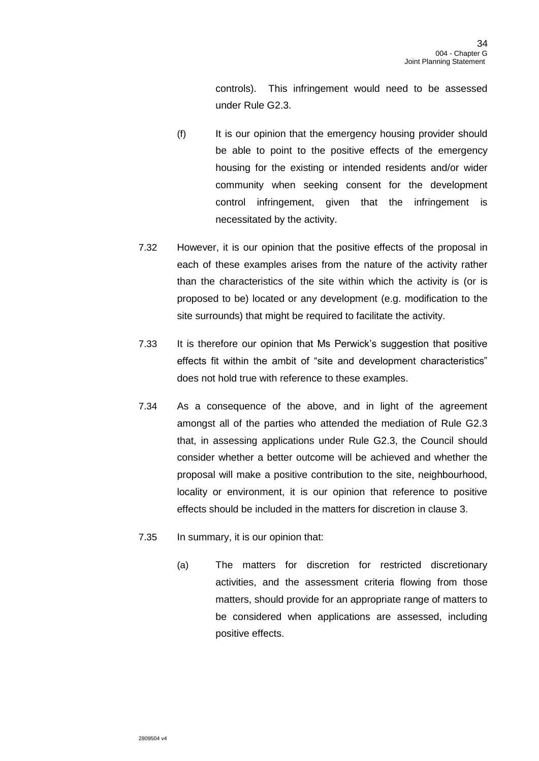controls). This infringement would need to be assessed under Rule G2.3.

- (f) It is our opinion that the emergency housing provider should be able to point to the positive effects of the emergency housing for the existing or intended residents and/or wider community when seeking consent for the development control infringement, given that the infringement is necessitated by the activity.
- 7.32 However, it is our opinion that the positive effects of the proposal in each of these examples arises from the nature of the activity rather than the characteristics of the site within which the activity is (or is proposed to be) located or any development (e.g. modification to the site surrounds) that might be required to facilitate the activity.
- 7.33 It is therefore our opinion that Ms Perwick's suggestion that positive effects fit within the ambit of "site and development characteristics" does not hold true with reference to these examples.
- 7.34 As a consequence of the above, and in light of the agreement amongst all of the parties who attended the mediation of Rule G2.3 that, in assessing applications under Rule G2.3, the Council should consider whether a better outcome will be achieved and whether the proposal will make a positive contribution to the site, neighbourhood, locality or environment, it is our opinion that reference to positive effects should be included in the matters for discretion in clause 3.
- 7.35 In summary, it is our opinion that:
	- (a) The matters for discretion for restricted discretionary activities, and the assessment criteria flowing from those matters, should provide for an appropriate range of matters to be considered when applications are assessed, including positive effects.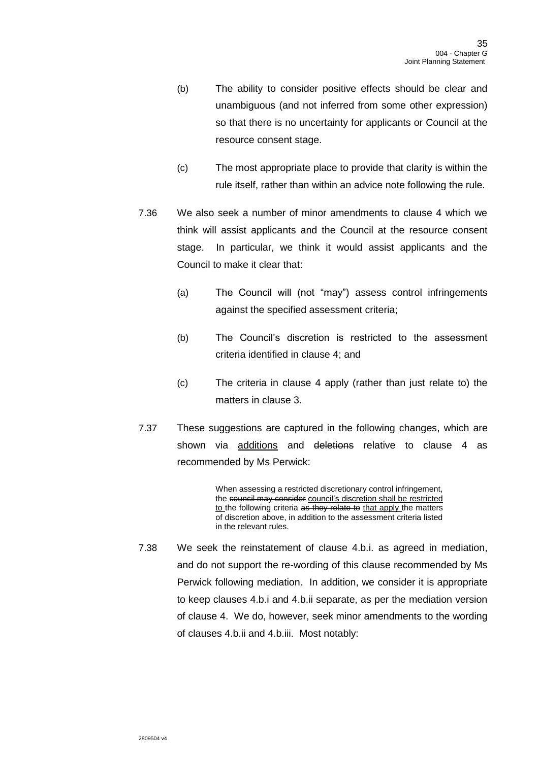- (b) The ability to consider positive effects should be clear and unambiguous (and not inferred from some other expression) so that there is no uncertainty for applicants or Council at the resource consent stage.
- (c) The most appropriate place to provide that clarity is within the rule itself, rather than within an advice note following the rule.
- 7.36 We also seek a number of minor amendments to clause 4 which we think will assist applicants and the Council at the resource consent stage. In particular, we think it would assist applicants and the Council to make it clear that:
	- (a) The Council will (not "may") assess control infringements against the specified assessment criteria;
	- (b) The Council's discretion is restricted to the assessment criteria identified in clause 4; and
	- (c) The criteria in clause 4 apply (rather than just relate to) the matters in clause 3.
- 7.37 These suggestions are captured in the following changes, which are shown via additions and deletions relative to clause 4 as recommended by Ms Perwick:

When assessing a restricted discretionary control infringement, the council may consider council's discretion shall be restricted to the following criteria as they relate to that apply the matters of discretion above, in addition to the assessment criteria listed in the relevant rules.

7.38 We seek the reinstatement of clause 4.b.i. as agreed in mediation, and do not support the re-wording of this clause recommended by Ms Perwick following mediation. In addition, we consider it is appropriate to keep clauses 4.b.i and 4.b.ii separate, as per the mediation version of clause 4. We do, however, seek minor amendments to the wording of clauses 4.b.ii and 4.b.iii. Most notably: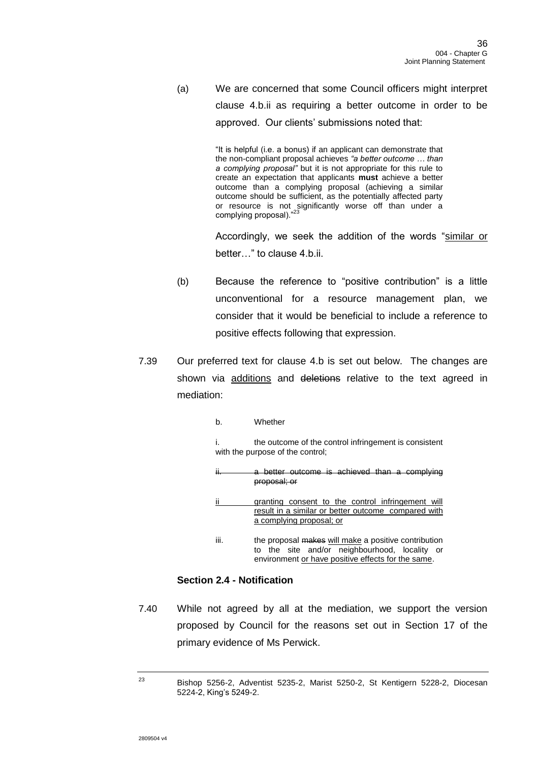(a) We are concerned that some Council officers might interpret clause 4.b.ii as requiring a better outcome in order to be approved. Our clients' submissions noted that:

> "It is helpful (i.e. a bonus) if an applicant can demonstrate that the non-compliant proposal achieves *"a better outcome … than a complying proposal"* but it is not appropriate for this rule to create an expectation that applicants **must** achieve a better outcome than a complying proposal (achieving a similar outcome should be sufficient, as the potentially affected party or resource is not significantly worse off than under a complying proposal)."<sup>23</sup>

Accordingly, we seek the addition of the words "similar or better…" to clause 4.b.ii.

- (b) Because the reference to "positive contribution" is a little unconventional for a resource management plan, we consider that it would be beneficial to include a reference to positive effects following that expression.
- 7.39 Our preferred text for clause 4.b is set out below. The changes are shown via additions and deletions relative to the text agreed in mediation:
	- b. Whether

i. the outcome of the control infringement is consistent with the purpose of the control;

|     | a better outcome is achieved than a complying     |
|-----|---------------------------------------------------|
| ١١. | proposal; or                                      |
| ij  | arapting consent to the control infringement will |

- ii granting consent to the control infringement will result in a similar or better outcome compared with a complying proposal; or
- iii. the proposal makes will make a positive contribution to the site and/or neighbourhood, locality or environment or have positive effects for the same.

## **Section 2.4 - Notification**

7.40 While not agreed by all at the mediation, we support the version proposed by Council for the reasons set out in Section 17 of the primary evidence of Ms Perwick.

<sup>23</sup> Bishop 5256-2, Adventist 5235-2, Marist 5250-2, St Kentigern 5228-2, Diocesan 5224-2, King's 5249-2.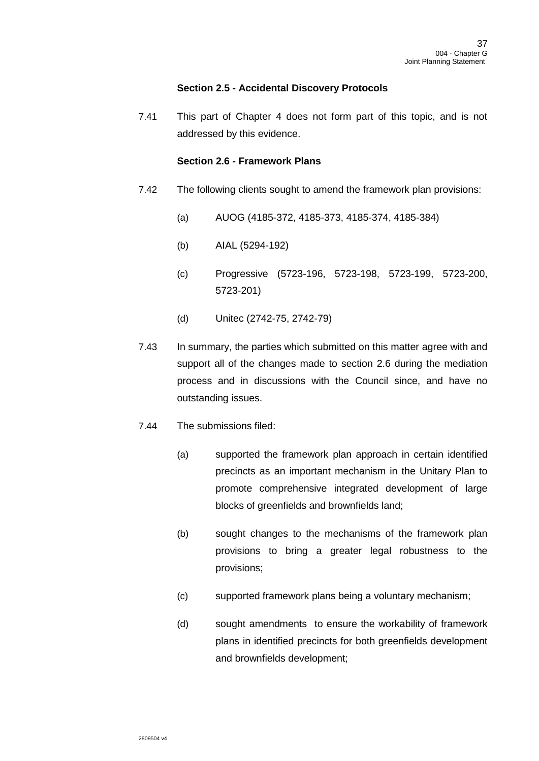## **Section 2.5 - Accidental Discovery Protocols**

7.41 This part of Chapter 4 does not form part of this topic, and is not addressed by this evidence.

### **Section 2.6 - Framework Plans**

- <span id="page-36-0"></span>7.42 The following clients sought to amend the framework plan provisions:
	- (a) AUOG (4185-372, 4185-373, 4185-374, 4185-384)
	- (b) AIAL (5294-192)
	- (c) Progressive (5723-196, 5723-198, 5723-199, 5723-200, 5723-201)
	- (d) Unitec (2742-75, 2742-79)
- 7.43 In summary, the parties which submitted on this matter agree with and support all of the changes made to section 2.6 during the mediation process and in discussions with the Council since, and have no outstanding issues.
- 7.44 The submissions filed:
	- (a) supported the framework plan approach in certain identified precincts as an important mechanism in the Unitary Plan to promote comprehensive integrated development of large blocks of greenfields and brownfields land;
	- (b) sought changes to the mechanisms of the framework plan provisions to bring a greater legal robustness to the provisions;
	- (c) supported framework plans being a voluntary mechanism;
	- (d) sought amendments to ensure the workability of framework plans in identified precincts for both greenfields development and brownfields development;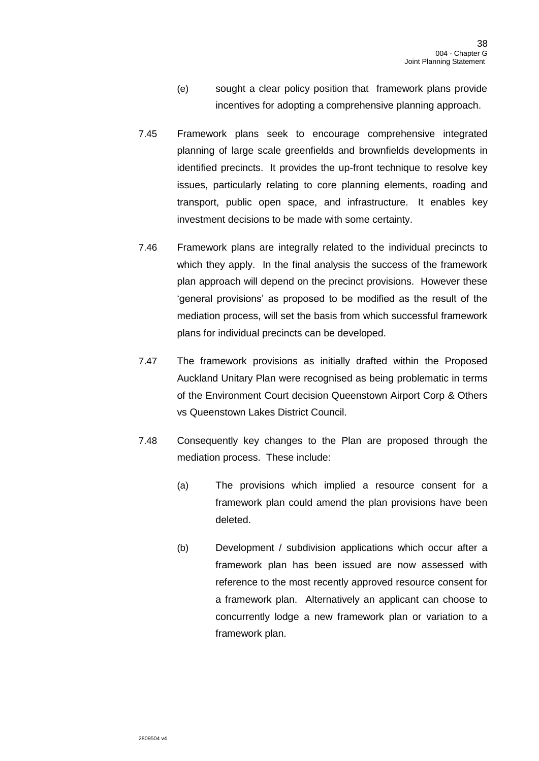- (e) sought a clear policy position that framework plans provide incentives for adopting a comprehensive planning approach.
- 7.45 Framework plans seek to encourage comprehensive integrated planning of large scale greenfields and brownfields developments in identified precincts. It provides the up-front technique to resolve key issues, particularly relating to core planning elements, roading and transport, public open space, and infrastructure. It enables key investment decisions to be made with some certainty.
- 7.46 Framework plans are integrally related to the individual precincts to which they apply. In the final analysis the success of the framework plan approach will depend on the precinct provisions. However these 'general provisions' as proposed to be modified as the result of the mediation process, will set the basis from which successful framework plans for individual precincts can be developed.
- 7.47 The framework provisions as initially drafted within the Proposed Auckland Unitary Plan were recognised as being problematic in terms of the Environment Court decision Queenstown Airport Corp & Others vs Queenstown Lakes District Council.
- 7.48 Consequently key changes to the Plan are proposed through the mediation process. These include:
	- (a) The provisions which implied a resource consent for a framework plan could amend the plan provisions have been deleted.
	- (b) Development / subdivision applications which occur after a framework plan has been issued are now assessed with reference to the most recently approved resource consent for a framework plan. Alternatively an applicant can choose to concurrently lodge a new framework plan or variation to a framework plan.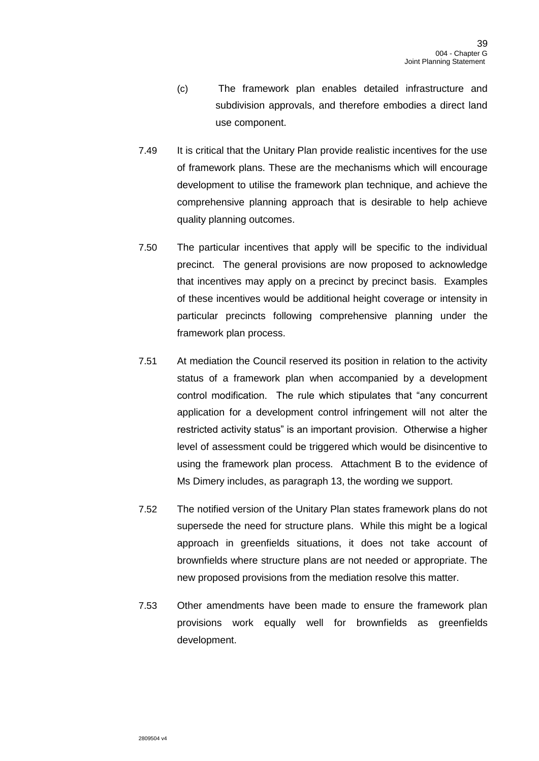- (c) The framework plan enables detailed infrastructure and subdivision approvals, and therefore embodies a direct land use component.
- 7.49 It is critical that the Unitary Plan provide realistic incentives for the use of framework plans. These are the mechanisms which will encourage development to utilise the framework plan technique, and achieve the comprehensive planning approach that is desirable to help achieve quality planning outcomes.
- 7.50 The particular incentives that apply will be specific to the individual precinct. The general provisions are now proposed to acknowledge that incentives may apply on a precinct by precinct basis. Examples of these incentives would be additional height coverage or intensity in particular precincts following comprehensive planning under the framework plan process.
- 7.51 At mediation the Council reserved its position in relation to the activity status of a framework plan when accompanied by a development control modification. The rule which stipulates that "any concurrent application for a development control infringement will not alter the restricted activity status" is an important provision. Otherwise a higher level of assessment could be triggered which would be disincentive to using the framework plan process. Attachment B to the evidence of Ms Dimery includes, as paragraph 13, the wording we support.
- 7.52 The notified version of the Unitary Plan states framework plans do not supersede the need for structure plans. While this might be a logical approach in greenfields situations, it does not take account of brownfields where structure plans are not needed or appropriate. The new proposed provisions from the mediation resolve this matter.
- 7.53 Other amendments have been made to ensure the framework plan provisions work equally well for brownfields as greenfields development.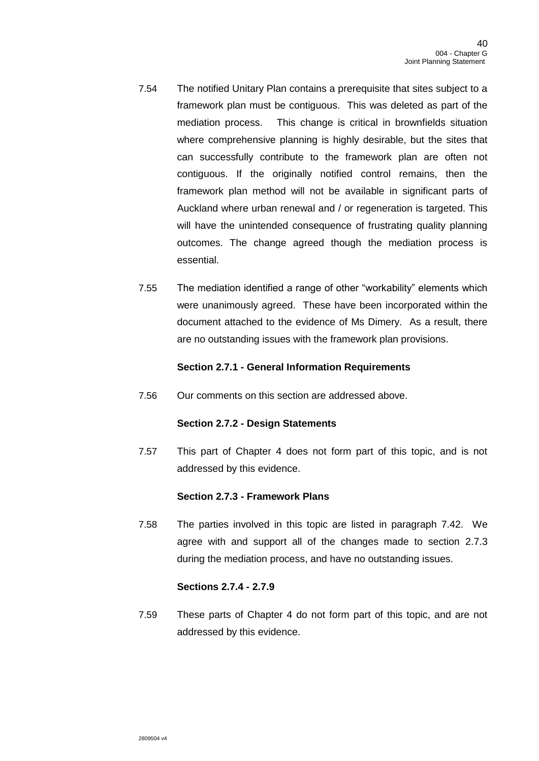- 7.54 The notified Unitary Plan contains a prerequisite that sites subject to a framework plan must be contiguous. This was deleted as part of the mediation process. This change is critical in brownfields situation where comprehensive planning is highly desirable, but the sites that can successfully contribute to the framework plan are often not contiguous. If the originally notified control remains, then the framework plan method will not be available in significant parts of Auckland where urban renewal and / or regeneration is targeted. This will have the unintended consequence of frustrating quality planning outcomes. The change agreed though the mediation process is essential.
- 7.55 The mediation identified a range of other "workability" elements which were unanimously agreed. These have been incorporated within the document attached to the evidence of Ms Dimery. As a result, there are no outstanding issues with the framework plan provisions.

### **Section 2.7.1 - General Information Requirements**

7.56 Our comments on this section are addressed above.

## **Section 2.7.2 - Design Statements**

7.57 This part of Chapter 4 does not form part of this topic, and is not addressed by this evidence.

## **Section 2.7.3 - Framework Plans**

7.58 The parties involved in this topic are listed in paragraph [7.42.](#page-36-0) We agree with and support all of the changes made to section 2.7.3 during the mediation process, and have no outstanding issues.

## **Sections 2.7.4 - 2.7.9**

7.59 These parts of Chapter 4 do not form part of this topic, and are not addressed by this evidence.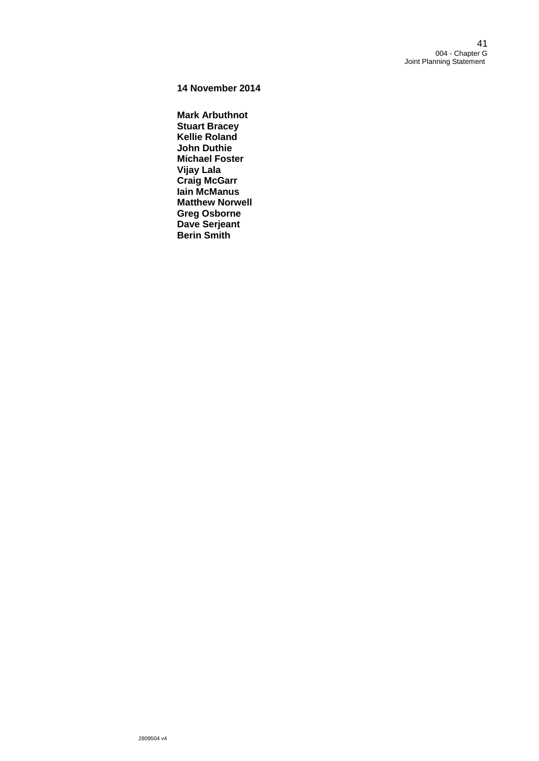**14 November 2014**

**Mark Arbuthnot Stuart Bracey Kellie Roland John Duthie Michael Foster Vijay Lala Craig McGarr Iain McManus Matthew Norwell Greg Osborne Dave Serjeant Berin Smith**